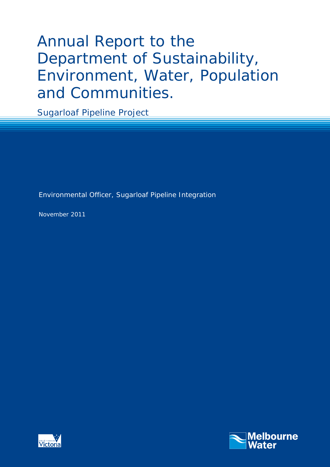# Annual Report to the Department of Sustainability, Environment, Water, Population and Communities.

Sugarloaf Pipeline Project

Environmental Officer, Sugarloaf Pipeline Integration

November 2011



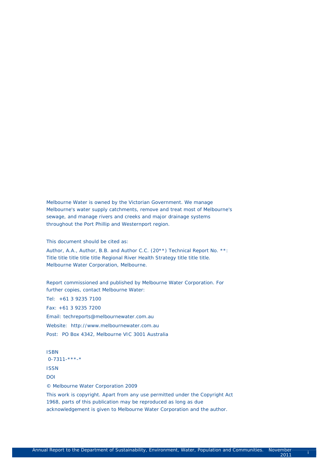Melbourne Water is owned by the Victorian Government. We manage Melbourne's water supply catchments, remove and treat most of Melbourne's sewage, and manage rivers and creeks and major drainage systems throughout the Port Phillip and Westernport region.

This document should be cited as:

Author, A.A., Author, B.B. and Author C.C. (20\*\*) Technical Report No. \*\*: Title title title title title Regional River Health Strategy title title title. Melbourne Water Corporation, Melbourne.

Report commissioned and published by Melbourne Water Corporation. For further copies, contact Melbourne Water:

Tel: +61 3 9235 7100 Fax: +61 3 9235 7200 Email: techreports@melbournewater.com.au Website: http://www.melbournewater.com.au Post: PO Box 4342, Melbourne VIC 3001 Australia

ISBN 0-7311-\*\*\*-\* ISSN

DOI

© Melbourne Water Corporation 2009

This work is copyright. Apart from any use permitted under the Copyright Act 1968, parts of this publication may be reproduced as long as due acknowledgement is given to Melbourne Water Corporation and the author.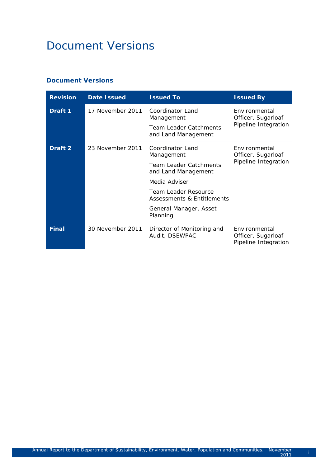# Document Versions

#### **Document Versions**

| <b>Revision</b> | <b>Date Issued</b> | <b>Issued To</b>                                                                                                                                                                                           | <b>Issued By</b>                                            |
|-----------------|--------------------|------------------------------------------------------------------------------------------------------------------------------------------------------------------------------------------------------------|-------------------------------------------------------------|
| Draft 1         | 17 November 2011   | Coordinator Land<br>Management<br><b>Team Leader Catchments</b><br>and Land Management                                                                                                                     | Environmental<br>Officer, Sugarloaf<br>Pipeline Integration |
| Draft 2         | 23 November 2011   | Coordinator Land<br>Management<br><b>Team Leader Catchments</b><br>and Land Management<br>Media Adviser<br><b>Team Leader Resource</b><br>Assessments & Entitlements<br>General Manager, Asset<br>Planning | Environmental<br>Officer, Sugarloaf<br>Pipeline Integration |
| <b>Final</b>    | 30 November 2011   | Director of Monitoring and<br>Audit, DSEWPAC                                                                                                                                                               | Environmental<br>Officer, Sugarloaf<br>Pipeline Integration |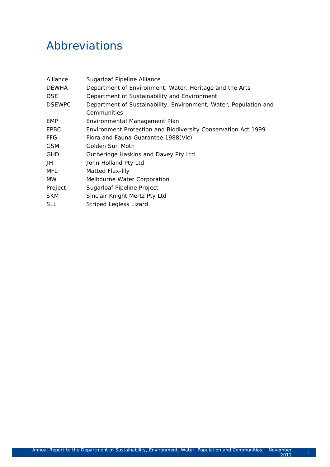# Abbreviations

| Alliance      | Sugarloaf Pipeline Alliance                                      |
|---------------|------------------------------------------------------------------|
| <b>DEWHA</b>  | Department of Environment, Water, Heritage and the Arts          |
| <b>DSE</b>    | Department of Sustainability and Environment                     |
| <b>DSEWPC</b> | Department of Sustainability, Environment, Water, Population and |
|               | Communities                                                      |
| <b>EMP</b>    | Environmental Management Plan                                    |
| <b>EPBC</b>   | Environment Protection and Biodiversity Conservation Act 1999    |
| FFG           | Flora and Fauna Guarantee 1988(Vic)                              |
| <b>GSM</b>    | Golden Sun Moth                                                  |
| <b>GHD</b>    | Gutheridge Haskins and Davey Pty Ltd                             |
| JH            | John Holland Pty Ltd                                             |
| MFL           | Matted Flax-lily                                                 |
| MW.           | Melbourne Water Corporation                                      |
| Project       | Sugarloaf Pipeline Project                                       |
| <b>SKM</b>    | Sinclair Knight Mertz Pty Ltd                                    |
| <b>SLL</b>    | Striped Legless Lizard                                           |
|               |                                                                  |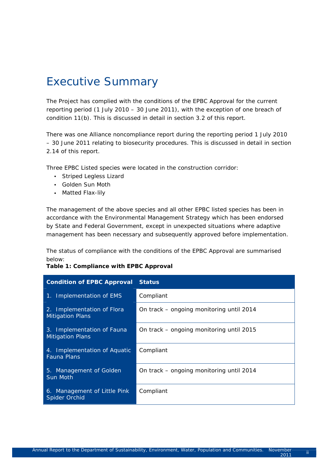# Executive Summary

The Project has complied with the conditions of the EPBC Approval for the current reporting period (1 July 2010 – 30 June 2011), with the exception of one breach of condition 11(b). This is discussed in detail in section 3.2 of this report.

There was one Alliance noncompliance report during the reporting period 1 July 2010 – 30 June 2011 relating to biosecurity procedures. This is discussed in detail in section 2.14 of this report.

Three EPBC Listed species were located in the construction corridor:

- Striped Legless Lizard
- Golden Sun Moth
- Matted Flax-lily

The management of the above species and all other EPBC listed species has been in accordance with the Environmental Management Strategy which has been endorsed by State and Federal Government, except in unexpected situations where adaptive management has been necessary and subsequently approved before implementation.

The status of compliance with the conditions of the EPBC Approval are summarised below:

#### **Table 1: Compliance with EPBC Approval**

| <b>Condition of EPBC Approval</b>                     | <b>Status</b>                            |
|-------------------------------------------------------|------------------------------------------|
| 1. Implementation of EMS                              | Compliant                                |
| 2. Implementation of Flora<br><b>Mitigation Plans</b> | On track – ongoing monitoring until 2014 |
| 3. Implementation of Fauna<br><b>Mitigation Plans</b> | On track – ongoing monitoring until 2015 |
| 4. Implementation of Aquatic<br><b>Fauna Plans</b>    | Compliant                                |
| 5. Management of Golden<br>Sun Moth                   | On track – ongoing monitoring until 2014 |
| 6. Management of Little Pink<br>Spider Orchid         | Compliant                                |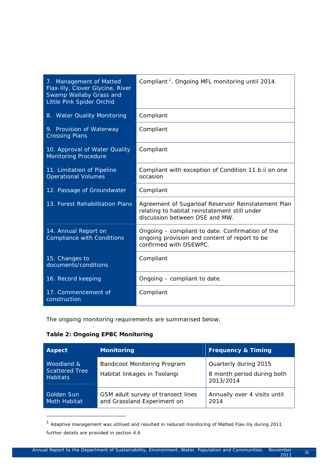| 7. Management of Matted<br>Flax-lily, Clover Glycine, River<br>Swamp Wallaby Grass and<br>Little Pink Spider Orchid | Compliant <sup>1</sup> . Ongoing MFL monitoring until 2014.                                                                            |
|---------------------------------------------------------------------------------------------------------------------|----------------------------------------------------------------------------------------------------------------------------------------|
| 8. Water Quality Monitoring                                                                                         | Compliant                                                                                                                              |
| 9. Provision of Waterway<br><b>Crossing Plans</b>                                                                   | Compliant                                                                                                                              |
| 10. Approval of Water Quality<br><b>Monitoring Procedure</b>                                                        | Compliant                                                                                                                              |
| 11. Limitation of Pipeline<br><b>Operational Volumes</b>                                                            | Compliant with exception of Condition 11.b.ii on one<br>occasion                                                                       |
| 12. Passage of Groundwater                                                                                          | Compliant                                                                                                                              |
| 13. Forest Rehabilitation Plans                                                                                     | Agreement of Sugarloaf Reservoir Reinstatement Plan<br>relating to habitat reinstatement still under<br>discussion between DSE and MW. |
| 14. Annual Report on<br><b>Compliance with Conditions</b>                                                           | Ongoing – compliant to date. Confirmation of the<br>ongoing provision and content of report to be<br>confirmed with DSEWPC.            |
| 15. Changes to<br>documents/conditions                                                                              | Compliant                                                                                                                              |
| 16. Record keeping                                                                                                  | Ongoing - compliant to date.                                                                                                           |
| 17. Commencement of<br>construction                                                                                 | Compliant                                                                                                                              |

The ongoing monitoring requirements are summarised below:

#### **Table 2: Ongoing EPBC Monitoring**

1

| <b>Aspect</b>                                          | <b>Monitoring</b>                                                   | <b>Frequency &amp; Timing</b>                                    |
|--------------------------------------------------------|---------------------------------------------------------------------|------------------------------------------------------------------|
| Woodland &<br><b>Scattered Tree</b><br><b>Habitats</b> | <b>Bandicoot Monitoring Program</b><br>Habitat linkages in Toolangi | Quarterly during 2015<br>8 month period during both<br>2013/2014 |
| <b>Golden Sun</b><br>Moth Habitat                      | GSM adult survey of transect lines<br>and Grassland Experiment on   | Annually over 4 visits until<br>2014                             |

 $1$  Adaptive management was utilised and resulted in reduced monitoring of Matted Flax-lily during 2011 further details are provided in section 4.6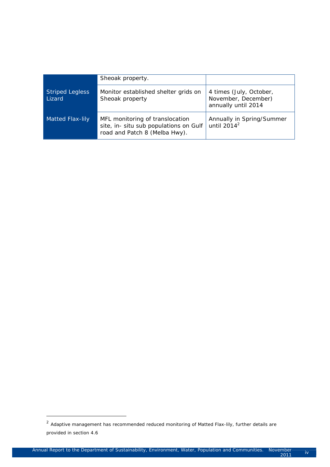|                                  | Sheoak property.                                                                                           |                                                                       |
|----------------------------------|------------------------------------------------------------------------------------------------------------|-----------------------------------------------------------------------|
| <b>Striped Legless</b><br>Lizard | Monitor established shelter grids on<br>Sheoak property                                                    | 4 times (July, October,<br>November, December)<br>annually until 2014 |
| <b>Matted Flax-lily</b>          | MFL monitoring of translocation<br>site, in- situ sub populations on Gulf<br>road and Patch 8 (Melba Hwy). | Annually in Spring/Summer<br>until $2014^2$                           |

1

 $2$  Adaptive management has recommended reduced monitoring of Matted Flax-lily, further details are provided in section 4.6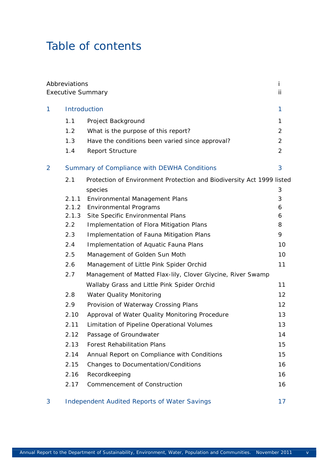# Table of contents

|                | Abbreviations | <b>Executive Summary</b>                                              | Ť<br>ii        |
|----------------|---------------|-----------------------------------------------------------------------|----------------|
| 1              |               | Introduction                                                          | 1              |
|                | 1.1           | Project Background                                                    | 1              |
|                | 1.2           | What is the purpose of this report?                                   | $\overline{2}$ |
|                | 1.3           | Have the conditions been varied since approval?                       | $\overline{2}$ |
|                | 1.4           | <b>Report Structure</b>                                               | $\overline{2}$ |
| $\overline{2}$ |               | Summary of Compliance with DEWHA Conditions                           | 3              |
|                | 2.1           | Protection of Environment Protection and Biodiversity Act 1999 listed |                |
|                |               | species                                                               | 3              |
|                | 2.1.1         | Environmental Management Plans                                        | 3              |
|                | 2.1.2         | <b>Environmental Programs</b>                                         | 6              |
|                | 2.1.3         | Site Specific Environmental Plans                                     | 6              |
|                | 2.2           | Implementation of Flora Mitigation Plans                              | 8              |
|                | 2.3           | Implementation of Fauna Mitigation Plans                              | 9              |
|                | 2.4           | Implementation of Aquatic Fauna Plans                                 | 10             |
|                | 2.5           | Management of Golden Sun Moth                                         | 10             |
|                | 2.6           | Management of Little Pink Spider Orchid                               | 11             |
|                | 2.7           | Management of Matted Flax-lily, Clover Glycine, River Swamp           |                |
|                |               | Wallaby Grass and Little Pink Spider Orchid                           | 11             |
|                | 2.8           | <b>Water Quality Monitoring</b>                                       | 12             |
|                | 2.9           | Provision of Waterway Crossing Plans                                  | 12             |
|                | 2.10          | Approval of Water Quality Monitoring Procedure                        | 13             |
|                | 2.11          | Limitation of Pipeline Operational Volumes                            | 13             |
|                | 2.12          | Passage of Groundwater                                                | 14             |
|                | 2.13          | <b>Forest Rehabilitation Plans</b>                                    | 15             |
|                | 2.14          | Annual Report on Compliance with Conditions                           | 15             |
|                | 2.15          | Changes to Documentation/Conditions                                   | 16             |
|                | 2.16          | Recordkeeping                                                         | 16             |
|                | 2.17          | Commencement of Construction                                          | 16             |
| 3              |               | <b>Independent Audited Reports of Water Savings</b>                   | 17             |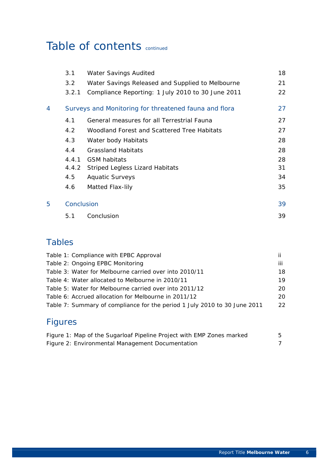# Table of contents continued

| 3.1<br><b>Water Savings Audited</b>                        | 18 |
|------------------------------------------------------------|----|
| 3.2<br>Water Savings Released and Supplied to Melbourne    | 21 |
| Compliance Reporting: 1 July 2010 to 30 June 2011<br>3.2.1 | 22 |
| Surveys and Monitoring for threatened fauna and flora<br>4 | 27 |
| General measures for all Terrestrial Fauna<br>4.1          | 27 |
| 4.2<br>Woodland Forest and Scattered Tree Habitats         | 27 |
| 4.3<br>Water body Habitats                                 | 28 |
| 4.4<br><b>Grassland Habitats</b>                           | 28 |
| 4.4.1<br><b>GSM habitats</b>                               | 28 |
| 4.4.2 Striped Legless Lizard Habitats                      | 31 |
| 4.5<br><b>Aquatic Surveys</b>                              | 34 |
| 4.6<br>Matted Flax-lily                                    | 35 |
| 5<br>Conclusion                                            | 39 |
| Conclusion<br>5.1                                          | 39 |

# Tables

| Table 1: Compliance with EPBC Approval                                    | ii  |
|---------------------------------------------------------------------------|-----|
| Table 2: Ongoing EPBC Monitoring                                          | iii |
| Table 3: Water for Melbourne carried over into 2010/11                    | 18  |
| Table 4: Water allocated to Melbourne in 2010/11                          | 19  |
| Table 5: Water for Melbourne carried over into 2011/12                    | 20  |
| Table 6: Accrued allocation for Melbourne in 2011/12                      | 20  |
| Table 7: Summary of compliance for the period 1 July 2010 to 30 June 2011 | 22  |
|                                                                           |     |

# Figures

| Figure 1: Map of the Sugarloaf Pipeline Project with EMP Zones marked |  |
|-----------------------------------------------------------------------|--|
| Figure 2: Environmental Management Documentation                      |  |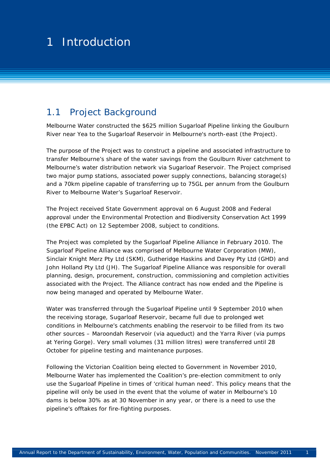#### 1 August for the threshold threshold threshold threshold threshold threshold threshold threshold threshold threshold 1 1 Introduction

### 1.1 Project Background

Melbourne Water constructed the \$625 million Sugarloaf Pipeline linking the Goulburn River near Yea to the Sugarloaf Reservoir in Melbourne's north-east (*the Project*).

The purpose of the Project was to construct a pipeline and associated infrastructure to transfer Melbourne's share of the water savings from the Goulburn River catchment to Melbourne's water distribution network via Sugarloaf Reservoir. The Project comprised two major pump stations, associated power supply connections, balancing storage(s) and a 70km pipeline capable of transferring up to 75GL per annum from the Goulburn River to Melbourne Water's Sugarloaf Reservoir.

The Project received State Government approval on 6 August 2008 and Federal approval under the *Environmental Protection and Biodiversity Conservation Act 1999* (the *EPBC Act)* on 12 September 2008, subject to conditions.

The Project was completed by the Sugarloaf Pipeline Alliance in February 2010. The Sugarloaf Pipeline Alliance was comprised of Melbourne Water Corporation (MW), Sinclair Knight Merz Pty Ltd (SKM), Gutheridge Haskins and Davey Pty Ltd (GHD) and John Holland Pty Ltd (JH). The Sugarloaf Pipeline Alliance was responsible for overall planning, design, procurement, construction, commissioning and completion activities associated with the Project. The Alliance contract has now ended and the Pipeline is now being managed and operated by Melbourne Water.

Water was transferred through the Sugarloaf Pipeline until 9 September 2010 when the receiving storage, Sugarloaf Reservoir, became full due to prolonged wet conditions in Melbourne's catchments enabling the reservoir to be filled from its two other sources – Maroondah Reservoir (via aqueduct) and the Yarra River (via pumps at Yering Gorge). Very small volumes (31 million litres) were transferred until 28 October for pipeline testing and maintenance purposes.

Following the Victorian Coalition being elected to Government in November 2010, Melbourne Water has implemented the Coalition's pre-election commitment to only use the Sugarloaf Pipeline in times of 'critical human need'. This policy means that the pipeline will only be used in the event that the volume of water in Melbourne's 10 dams is below 30% as at 30 November in any year, or there is a need to use the pipeline's offtakes for fire-fighting purposes.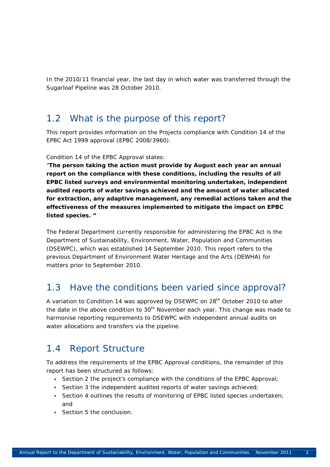In the 2010/11 financial year, the last day in which water was transferred through the Sugarloaf Pipeline was 28 October 2010.

### 1.2 What is the purpose of this report?

This report provides information on the Projects compliance with Condition 14 of the *EPBC Act 1999* approval (EPBC 2008/3960).

#### Condition 14 of the EPBC Approval states:

"*The person taking the action must provide by August each year an annual report on the compliance with these conditions, including the results of all EPBC listed surveys and environmental monitoring undertaken, independent audited reports of water savings achieved and the amount of water allocated for extraction, any adaptive management, any remedial actions taken and the effectiveness of the measures implemented to mitigate the impact on EPBC listed species. "* 

The Federal Department currently responsible for administering the EPBC Act is the Department of Sustainability, Environment, Water, Population and Communities (DSEWPC), which was established 14 September 2010. This report refers to the previous Department of Environment Water Heritage and the Arts (DEWHA) for matters prior to September 2010.

## 1.3 Have the conditions been varied since approval?

A variation to Condition 14 was approved by DSEWPC on 28<sup>th</sup> October 2010 to alter the date in the above condition to  $30<sup>th</sup>$  November each year. This change was made to harmonise reporting requirements to DSEWPC with independent annual audits on water allocations and transfers via the pipeline.

## 1.4 Report Structure

To address the requirements of the EPBC Approval conditions, the remainder of this report has been structured as follows:

- Section 2 the project's compliance with the conditions of the EPBC Approval;
- Section 3 the independent audited reports of water savings achieved;
- Section 4 outlines the results of monitoring of EPBC listed species undertaken; and
- Section 5 the conclusion.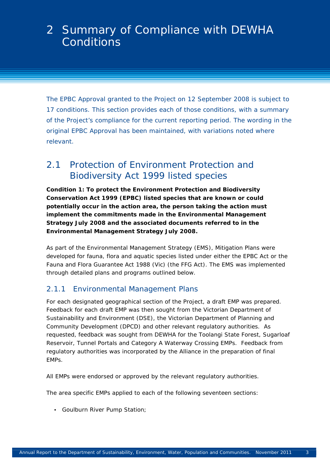# 2 Summary of Compliance with DEWHA **Conditions**

The EPBC Approval granted to the Project on 12 September 2008 is subject to 17 conditions. This section provides each of those conditions, with a summary of the Project's compliance for the current reporting period. The wording in the original EPBC Approval has been maintained, with variations noted where relevant.

## 2.1 Protection of *Environment Protection and Biodiversity Act* 1999 listed species

*Condition 1: To protect the Environment Protection and Biodiversity Conservation Act 1999 (EPBC) listed species that are known or could potentially occur in the action area, the person taking the action must implement the commitments made in the Environmental Management Strategy July 2008 and the associated documents referred to in the Environmental Management Strategy July 2008.* 

As part of the Environmental Management Strategy (EMS), Mitigation Plans were developed for fauna, flora and aquatic species listed under either the EPBC Act or the Fauna and Flora Guarantee Act 1988 (Vic) (the FFG Act). The EMS was implemented through detailed plans and programs outlined below.

### 2.1.1 Environmental Management Plans

For each designated geographical section of the Project, a draft EMP was prepared. Feedback for each draft EMP was then sought from the Victorian Department of Sustainability and Environment (DSE), the Victorian Department of Planning and Community Development (DPCD) and other relevant regulatory authorities. As requested, feedback was sought from DEWHA for the Toolangi State Forest, Sugarloaf Reservoir, Tunnel Portals and Category A Waterway Crossing EMPs. Feedback from regulatory authorities was incorporated by the Alliance in the preparation of final EMPs.

All EMPs were endorsed or approved by the relevant regulatory authorities.

The area specific EMPs applied to each of the following seventeen sections:

• Goulburn River Pump Station;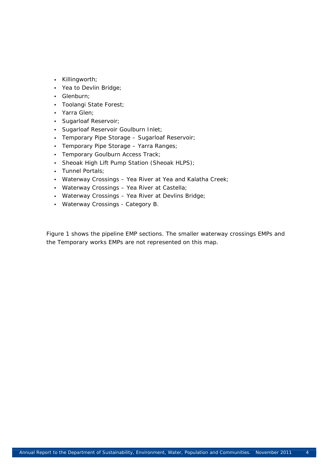- Killingworth;
- Yea to Devlin Bridge;
- Glenburn;
- Toolangi State Forest;
- Yarra Glen;
- Sugarloaf Reservoir;
- Sugarloaf Reservoir Goulburn Inlet;
- Temporary Pipe Storage Sugarloaf Reservoir;
- Temporary Pipe Storage Yarra Ranges;
- Temporary Goulburn Access Track;
- Sheoak High Lift Pump Station (Sheoak HLPS);
- Tunnel Portals;
- Waterway Crossings Yea River at Yea and Kalatha Creek;
- Waterway Crossings Yea River at Castella;
- Waterway Crossings Yea River at Devlins Bridge;
- Waterway Crossings Category B.

Figure 1 shows the pipeline EMP sections. The smaller waterway crossings EMPs and the Temporary works EMPs are not represented on this map.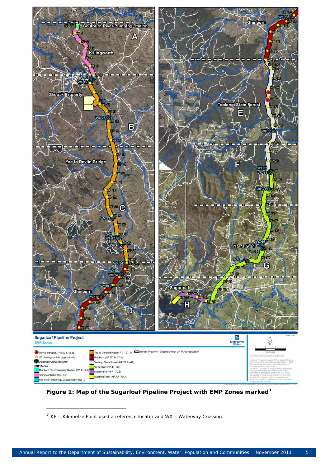

**Figure 1: Map of the Sugarloaf Pipeline Project with EMP Zones marked<sup>3</sup>**

 $3$  KP – Kilometre Point used a reference locator and WX – Waterway Crossing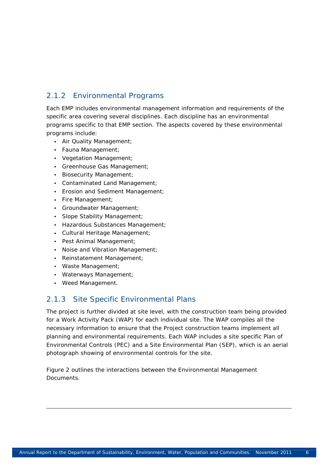### 2.1.2 Environmental Programs

Each EMP includes environmental management information and requirements of the specific area covering several disciplines. Each discipline has an environmental programs specific to that EMP section. The aspects covered by these environmental programs include:

- Air Quality Management;
- Fauna Management;
- Vegetation Management;
- Greenhouse Gas Management;
- Biosecurity Management;
- Contaminated Land Management;
- Erosion and Sediment Management;
- Fire Management;
- Groundwater Management;
- Slope Stability Management;
- Hazardous Substances Management;
- Cultural Heritage Management;
- Pest Animal Management;
- Noise and Vibration Management;
- Reinstatement Management;
- Waste Management;
- Waterways Management;
- Weed Management.

#### 2.1.3 Site Specific Environmental Plans

The project is further divided at site level, with the construction team being provided for a Work Activity Pack (WAP) for each individual site. The WAP compiles all the necessary information to ensure that the Project construction teams implement all planning and environmental requirements. Each WAP includes a site specific Plan of Environmental Controls (PEC) and a Site Environmental Plan (SEP), which is an aerial photograph showing of environmental controls for the site.

Figure 2 outlines the interactions between the Environmental Management Documents.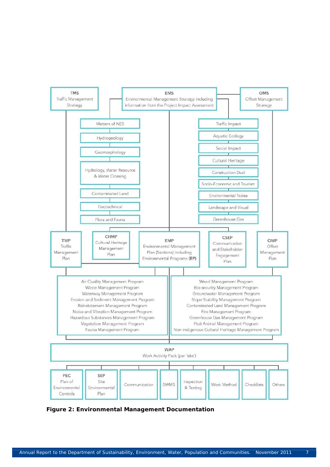

**Figure 2: Environmental Management Documentation**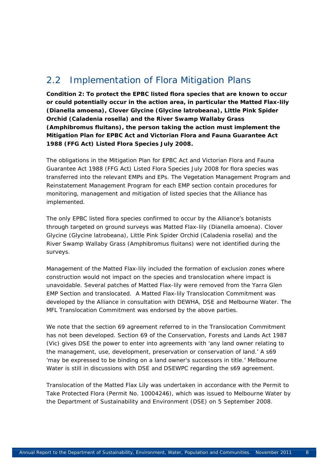# 2.2 Implementation of Flora Mitigation Plans

*Condition 2: To protect the EPBC listed flora species that are known to occur or could potentially occur in the action area, in particular the Matted Flax-lily (Dianella amoena), Clover Glycine (Glycine latrobeana), Little Pink Spider Orchid (Caladenia rosella) and the River Swamp Wallaby Grass (Amphibromus fluitans), the person taking the action must implement the Mitigation Plan for EPBC Act and Victorian Flora and Fauna Guarantee Act 1988 (FFG Act) Listed Flora Species July 2008.* 

The obligations in the Mitigation Plan for EPBC Act and Victorian Flora and Fauna Guarantee Act 1988 (FFG Act) Listed Flora Species July 2008 for flora species was transferred into the relevant EMPs and EPs. The Vegetation Management Program and Reinstatement Management Program for each EMP section contain procedures for monitoring, management and mitigation of listed species that the Alliance has implemented.

The only EPBC listed flora species confirmed to occur by the Alliance's botanists through targeted on ground surveys was Matted Flax-lily (*Dianella amoena*). *Clover Glycine (Glycine latrobeana), Little Pink Spider Orchid (Caladenia rosella) and the River Swamp Wallaby Grass (Amphibromus fluitans)* were not identified during the surveys.

Management of the Matted Flax-lily included the formation of exclusion zones where construction would not impact on the species and translocation where impact is unavoidable. Several patches of Matted Flax-lily were removed from the Yarra Glen EMP Section and translocated. A Matted Flax-lily Translocation Commitment was developed by the Alliance in consultation with DEWHA, DSE and Melbourne Water. The MFL Translocation Commitment was endorsed by the above parties.

We note that the section 69 agreement referred to in the Translocation Commitment has not been developed. Section 69 of the *Conservation, Forests and Lands Act 1987* (Vic) gives DSE the power to enter into agreements with 'any land owner relating to the management, use, development, preservation or conservation of land.' A s69 'may be expressed to be binding on a land owner's successors in title.' Melbourne Water is still in discussions with DSE and DSEWPC regarding the s69 agreement.

Translocation of the Matted Flax Lily was undertaken in accordance with the Permit to Take Protected Flora (Permit No. 10004246), which was issued to Melbourne Water by the Department of Sustainability and Environment (DSE) on 5 September 2008.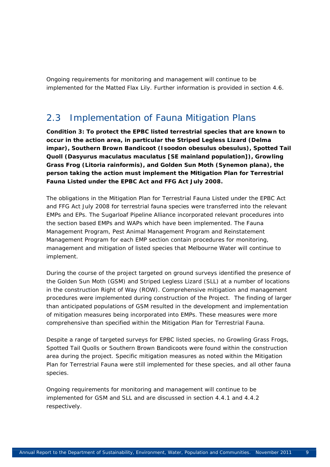Ongoing requirements for monitoring and management will continue to be implemented for the Matted Flax Lily. Further information is provided in section 4.6.

## 2.3 Implementation of Fauna Mitigation Plans

*Condition 3: To protect the EPBC listed terrestrial species that are known to occur in the action area, in particular the Striped Legless Lizard (Delma impar), Southern Brown Bandicoot (Isoodon obesulus obesulus), Spotted Tail Quoll (Dasyurus maculatus maculatus [SE mainland population]), Growling Grass Frog (Litoria rainformis), and Golden Sun Moth (Synemon plana), the person taking the action must implement the Mitigation Plan for Terrestrial Fauna Listed under the EPBC Act and FFG Act July 2008.* 

The obligations in the Mitigation Plan for Terrestrial Fauna Listed under the EPBC Act and FFG Act July 2008 for terrestrial fauna species were transferred into the relevant EMPs and EPs. The Sugarloaf Pipeline Alliance incorporated relevant procedures into the section based EMPs and WAPs which have been implemented. The Fauna Management Program, Pest Animal Management Program and Reinstatement Management Program for each EMP section contain procedures for monitoring, management and mitigation of listed species that Melbourne Water will continue to implement.

During the course of the project targeted on ground surveys identified the presence of the Golden Sun Moth (GSM) and Striped Legless Lizard (SLL) at a number of locations in the construction Right of Way (ROW). Comprehensive mitigation and management procedures were implemented during construction of the Project. The finding of larger than anticipated populations of GSM resulted in the development and implementation of mitigation measures being incorporated into EMPs. These measures were more comprehensive than specified within the Mitigation Plan for Terrestrial Fauna.

Despite a range of targeted surveys for EPBC listed species, no Growling Grass Frogs, Spotted Tail Quolls or Southern Brown Bandicoots were found within the construction area during the project. Specific mitigation measures as noted within the Mitigation Plan for Terrestrial Fauna were still implemented for these species, and all other fauna species.

Ongoing requirements for monitoring and management will continue to be implemented for GSM and SLL and are discussed in section 4.4.1 and 4.4.2 respectively.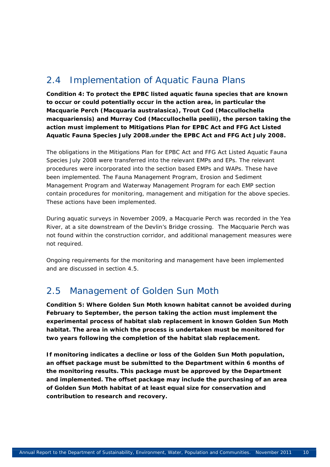# 2.4 Implementation of Aquatic Fauna Plans

*Condition 4: To protect the EPBC listed aquatic fauna species that are known to occur or could potentially occur in the action area, in particular the Macquarie Perch (Macquaria australasica), Trout Cod (Maccullochella macquariensis) and Murray Cod (Maccullochella peelii), the person taking the action must implement to Mitigations Plan for EPBC Act and FFG Act Listed Aquatic Fauna Species July 2008.under the EPBC Act and FFG Act July 2008.* 

The obligations in the Mitigations Plan for EPBC Act and FFG Act Listed Aquatic Fauna Species July 2008 were transferred into the relevant EMPs and EPs. The relevant procedures were incorporated into the section based EMPs and WAPs. These have been implemented. The Fauna Management Program, Erosion and Sediment Management Program and Waterway Management Program for each EMP section contain procedures for monitoring, management and mitigation for the above species. These actions have been implemented.

During aquatic surveys in November 2009, a Macquarie Perch was recorded in the Yea River, at a site downstream of the Devlin's Bridge crossing. The Macquarie Perch was not found within the construction corridor, and additional management measures were not required.

Ongoing requirements for the monitoring and management have been implemented and are discussed in section 4.5.

## 2.5 Management of Golden Sun Moth

*Condition 5: Where Golden Sun Moth known habitat cannot be avoided during February to September, the person taking the action must implement the experimental process of habitat slab replacement in known Golden Sun Moth habitat. The area in which the process is undertaken must be monitored for two years following the completion of the habitat slab replacement.* 

*If monitoring indicates a decline or loss of the Golden Sun Moth population, an offset package must be submitted to the Department within 6 months of the monitoring results. This package must be approved by the Department and implemented. The offset package may include the purchasing of an area of Golden Sun Moth habitat of at least equal size for conservation and contribution to research and recovery.*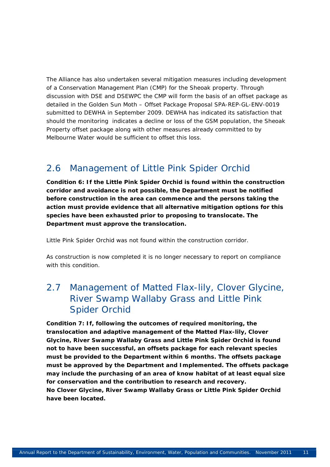The Alliance has also undertaken several mitigation measures including development of a Conservation Management Plan (CMP) for the Sheoak property. Through discussion with DSE and DSEWPC the CMP will form the basis of an offset package as detailed in the Golden Sun Moth – Offset Package Proposal SPA-REP-GL-ENV-0019 submitted to DEWHA in September 2009. DEWHA has indicated its satisfaction that should the monitoring indicates a decline or loss of the GSM population, the Sheoak Property offset package along with other measures already committed to by Melbourne Water would be sufficient to offset this loss.

# 2.6 Management of Little Pink Spider Orchid

*Condition 6: If the Little Pink Spider Orchid is found within the construction corridor and avoidance is not possible, the Department must be notified before construction in the area can commence and the persons taking the action must provide evidence that all alternative mitigation options for this species have been exhausted prior to proposing to translocate. The Department must approve the translocation.* 

Little Pink Spider Orchid was not found within the construction corridor.

As construction is now completed it is no longer necessary to report on compliance with this condition.

# 2.7 Management of Matted Flax-lily, Clover Glycine, River Swamp Wallaby Grass and Little Pink Spider Orchid

*Condition 7: If, following the outcomes of required monitoring, the translocation and adaptive management of the Matted Flax-lily, Clover Glycine, River Swamp Wallaby Grass and Little Pink Spider Orchid is found not to have been successful, an offsets package for each relevant species must be provided to the Department within 6 months. The offsets package must be approved by the Department and Implemented. The offsets package may include the purchasing of an area of know habitat of at least equal size for conservation and the contribution to research and recovery. No Clover Glycine, River Swamp Wallaby Grass or Little Pink Spider Orchid have been located.*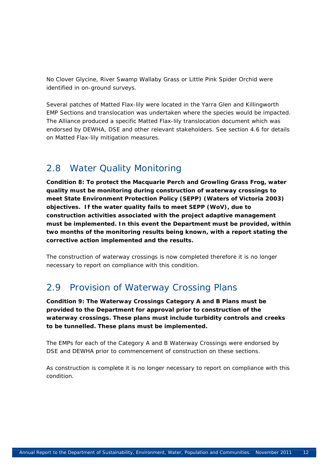No Clover Glycine, River Swamp Wallaby Grass or Little Pink Spider Orchid were identified in on-ground surveys.

Several patches of Matted Flax-lily were located in the Yarra Glen and Killingworth EMP Sections and translocation was undertaken where the species would be impacted. The Alliance produced a specific Matted Flax-lily translocation document which was endorsed by DEWHA, DSE and other relevant stakeholders. See section 4.6 for details on Matted Flax-lily mitigation measures.

# 2.8 Water Quality Monitoring

*Condition 8: To protect the Macquarie Perch and Growling Grass Frog, water quality must be monitoring during construction of waterway crossings to meet State Environment Protection Policy (SEPP) (Waters of Victoria 2003) objectives. If the water quality fails to meet SEPP (WoV), due to construction activities associated with the project adaptive management must be implemented. In this event the Department must be provided, within two months of the monitoring results being known, with a report stating the corrective action implemented and the results.* 

The construction of waterway crossings is now completed therefore it is no longer necessary to report on compliance with this condition.

## 2.9 Provision of Waterway Crossing Plans

*Condition 9: The Waterway Crossings Category A and B Plans must be provided to the Department for approval prior to construction of the waterway crossings. These plans must include turbidity controls and creeks to be tunnelled. These plans must be implemented.* 

The EMPs for each of the Category A and B Waterway Crossings were endorsed by DSE and DEWHA prior to commencement of construction on these sections.

As construction is complete it is no longer necessary to report on compliance with this condition.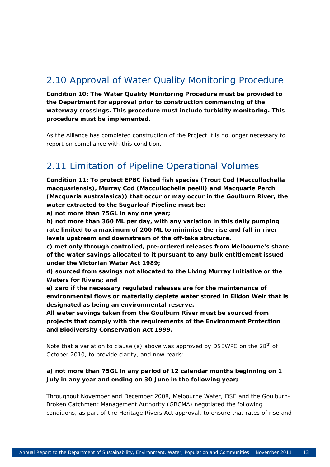# 2.10 Approval of Water Quality Monitoring Procedure

*Condition 10: The Water Quality Monitoring Procedure must be provided to the Department for approval prior to construction commencing of the waterway crossings. This procedure must include turbidity monitoring. This procedure must be implemented.* 

As the Alliance has completed construction of the Project it is no longer necessary to report on compliance with this condition.

# 2.11 Limitation of Pipeline Operational Volumes

*Condition 11: To protect EPBC listed fish species (Trout Cod (Maccullochella macquariensis), Murray Cod (Maccullochella peelii) and Macquarie Perch (Macquaria australasica)) that occur or may occur in the Goulburn River, the water extracted to the Sugarloaf Pipeline must be:* 

*a) not more than 75GL in any one year;* 

*b) not more than 360 ML per day, with any variation in this daily pumping rate limited to a maximum of 200 ML to minimise the rise and fall in river levels upstream and downstream of the off-take structure.* 

*c) met only through controlled, pre-ordered releases from Melbourne's share of the water savings allocated to it pursuant to any bulk entitlement issued under the Victorian Water Act 1989;* 

*d) sourced from savings not allocated to the Living Murray Initiative or the Waters for Rivers; and* 

*e) zero if the necessary regulated releases are for the maintenance of environmental flows or materially deplete water stored in Eildon Weir that is designated as being an environmental reserve.* 

*All water savings taken from the Goulburn River must be sourced from projects that comply with the requirements of the Environment Protection and Biodiversity Conservation Act 1999.* 

Note that a variation to clause (a) above was approved by DSEWPC on the  $28<sup>th</sup>$  of October 2010, to provide clarity, and now reads:

#### *a) not more than 75GL in any period of 12 calendar months beginning on 1 July in any year and ending on 30 June in the following year;*

Throughout November and December 2008, Melbourne Water, DSE and the Goulburn-Broken Catchment Management Authority (GBCMA) negotiated the following conditions, as part of the Heritage Rivers Act approval, to ensure that rates of rise and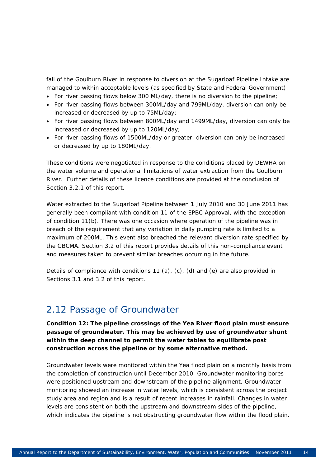fall of the Goulburn River in response to diversion at the Sugarloaf Pipeline Intake are managed to within acceptable levels (as specified by State and Federal Government):

- For river passing flows below 300 ML/day, there is no diversion to the pipeline;
- For river passing flows between 300ML/day and 799ML/day, diversion can only be increased or decreased by up to 75ML/day;
- For river passing flows between 800ML/day and 1499ML/day, diversion can only be increased or decreased by up to 120ML/day;
- For river passing flows of 1500ML/day or greater, diversion can only be increased or decreased by up to 180ML/day.

These conditions were negotiated in response to the conditions placed by DEWHA on the water volume and operational limitations of water extraction from the Goulburn River. Further details of these licence conditions are provided at the conclusion of Section 3.2.1 of this report.

Water extracted to the Sugarloaf Pipeline between 1 July 2010 and 30 June 2011 has generally been compliant with condition 11 of the EPBC Approval, with the exception of condition 11(b). There was one occasion where operation of the pipeline was in breach of the requirement that any variation in daily pumping rate is limited to a maximum of 200ML. This event also breached the relevant diversion rate specified by the GBCMA. Section 3.2 of this report provides details of this non-compliance event and measures taken to prevent similar breaches occurring in the future.

Details of compliance with conditions 11 (a),  $(c)$ , (d) and (e) are also provided in Sections 3.1 and 3.2 of this report.

### 2.12 Passage of Groundwater

*Condition 12: The pipeline crossings of the Yea River flood plain must ensure passage of groundwater. This may be achieved by use of groundwater shunt within the deep channel to permit the water tables to equilibrate post construction across the pipeline or by some alternative method.* 

Groundwater levels were monitored within the Yea flood plain on a monthly basis from the completion of construction until December 2010. Groundwater monitoring bores were positioned upstream and downstream of the pipeline alignment. Groundwater monitoring showed an increase in water levels, which is consistent across the project study area and region and is a result of recent increases in rainfall. Changes in water levels are consistent on both the upstream and downstream sides of the pipeline, which indicates the pipeline is not obstructing groundwater flow within the flood plain.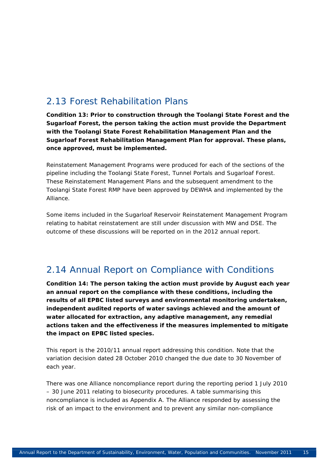# 2.13 Forest Rehabilitation Plans

*Condition 13: Prior to construction through the Toolangi State Forest and the Sugarloaf Forest, the person taking the action must provide the Department with the Toolangi State Forest Rehabilitation Management Plan and the Sugarloaf Forest Rehabilitation Management Plan for approval. These plans, once approved, must be implemented.* 

Reinstatement Management Programs were produced for each of the sections of the pipeline including the Toolangi State Forest, Tunnel Portals and Sugarloaf Forest. These Reinstatement Management Plans and the subsequent amendment to the Toolangi State Forest RMP have been approved by DEWHA and implemented by the Alliance.

Some items included in the Sugarloaf Reservoir Reinstatement Management Program relating to habitat reinstatement are still under discussion with MW and DSE. The outcome of these discussions will be reported on in the 2012 annual report.

## 2.14 Annual Report on Compliance with Conditions

*Condition 14: The person taking the action must provide by August each year an annual report on the compliance with these conditions, including the results of all EPBC listed surveys and environmental monitoring undertaken, independent audited reports of water savings achieved and the amount of water allocated for extraction, any adaptive management, any remedial actions taken and the effectiveness if the measures implemented to mitigate the impact on EPBC listed species.* 

This report is the 2010/11 annual report addressing this condition. Note that the variation decision dated 28 October 2010 changed the due date to 30 November of each year.

There was one Alliance noncompliance report during the reporting period 1 July 2010 – 30 June 2011 relating to biosecurity procedures. A table summarising this noncompliance is included as Appendix A. The Alliance responded by assessing the risk of an impact to the environment and to prevent any similar non-compliance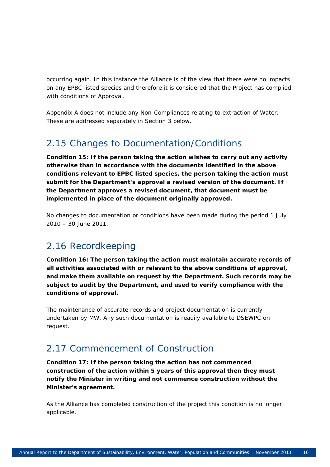occurring again. In this instance the Alliance is of the view that there were no impacts on any EPBC listed species and therefore it is considered that the Project has complied with conditions of Approval.

Appendix A does not include any Non-Compliances relating to extraction of Water. These are addressed separately in Section 3 below.

# 2.15 Changes to Documentation/Conditions

*Condition 15: If the person taking the action wishes to carry out any activity otherwise than in accordance with the documents identified in the above conditions relevant to EPBC listed species, the person taking the action must submit for the Department's approval a revised version of the document. If the Department approves a revised document, that document must be implemented in place of the document originally approved.* 

No changes to documentation or conditions have been made during the period 1 July 2010 – 30 June 2011.

# 2.16 Recordkeeping

*Condition 16: The person taking the action must maintain accurate records of all activities associated with or relevant to the above conditions of approval, and make them available on request by the Department. Such records may be subject to audit by the Department, and used to verify compliance with the conditions of approval.* 

The maintenance of accurate records and project documentation is currently undertaken by MW. Any such documentation is readily available to DSEWPC on request.

## 2.17 Commencement of Construction

*Condition 17: If the person taking the action has not commenced construction of the action within 5 years of this approval then they must notify the Minister in writing and not commence construction without the Minister's agreement.* 

As the Alliance has completed construction of the project this condition is no longer applicable.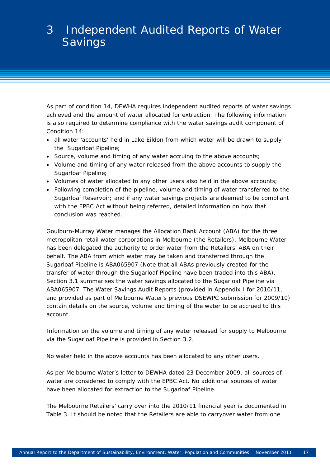# 3 Independent Audited Reports of Water **Savings**

As part of condition 14, DEWHA requires independent audited reports of water savings achieved and the amount of water allocated for extraction. The following information is also required to determine compliance with the water savings audit component of Condition 14:

- all water 'accounts' held in Lake Eildon from which water will be drawn to supply the Sugarloaf Pipeline;
- Source, volume and timing of any water accruing to the above accounts;
- Volume and timing of any water released from the above accounts to supply the Sugarloaf Pipeline;
- Volumes of water allocated to any other users also held in the above accounts;
- Following completion of the pipeline, volume and timing of water transferred to the Sugarloaf Reservoir; and if any water savings projects are deemed to be compliant with the EPBC Act without being referred, detailed information on how that conclusion was reached.

Goulburn-Murray Water manages the Allocation Bank Account (ABA) for the three metropolitan retail water corporations in Melbourne (the Retailers). Melbourne Water has been delegated the authority to order water from the Retailers' ABA on their behalf. The ABA from which water may be taken and transferred through the Sugarloaf Pipeline is ABA065907 (Note that all ABAs previously created for the transfer of water through the Sugarloaf Pipeline have been traded into this ABA). Section 3.1 summarises the water savings allocated to the Sugarloaf Pipeline via ABA065907. The Water Savings Audit Reports (provided in Appendix I for 2010/11, and provided as part of Melbourne Water's previous DSEWPC submission for 2009/10) contain details on the source, volume and timing of the water to be accrued to this account.

Information on the volume and timing of any water released for supply to Melbourne via the Sugarloaf Pipeline is provided in Section 3.2.

No water held in the above accounts has been allocated to any other users.

As per Melbourne Water's letter to DEWHA dated 23 December 2009, all sources of water are considered to comply with the EPBC Act. No additional sources of water have been allocated for extraction to the Sugarloaf Pipeline.

The Melbourne Retailers' carry over into the 2010/11 financial year is documented in Table 3. It should be noted that the Retailers are able to carryover water from one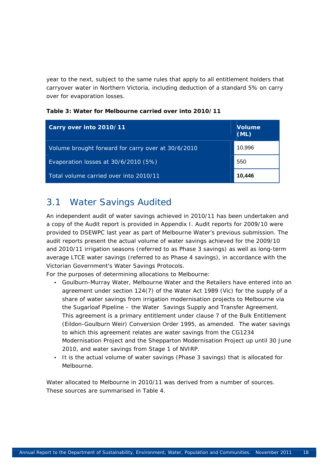year to the next, subject to the same rules that apply to all entitlement holders that carryover water in Northern Victoria, including deduction of a standard 5% on carry over for evaporation losses.

| Carry over into 2010/11                            | <b>Volume</b><br>(ML) |
|----------------------------------------------------|-----------------------|
| Volume brought forward for carry over at 30/6/2010 | 10,996                |
| Evaporation losses at 30/6/2010 (5%)               | 550                   |
| Total volume carried over into 2010/11             | 10,446                |

**Table 3: Water for Melbourne carried over into 2010/11** 

# 3.1 Water Savings Audited

An independent audit of water savings achieved in 2010/11 has been undertaken and a copy of the Audit report is provided in Appendix I. Audit reports for 2009/10 were provided to DSEWPC last year as part of Melbourne Water's previous submission. The audit reports present the *actual* volume of water savings achieved for the 2009/10 and 2010/11 irrigation seasons (referred to as Phase 3 savings) as well as *long-term average LTCE* water savings (referred to as Phase 4 savings), in accordance with the Victorian Government's Water Savings Protocols.

For the purposes of determining allocations to Melbourne:

- Goulburn-Murray Water, Melbourne Water and the Retailers have entered into an agreement under section 124(7) of the Water Act 1989 (Vic) for the supply of a share of water savings from irrigation modernisation projects to Melbourne via the Sugarloaf Pipeline – the Water Savings Supply and Transfer Agreement. This agreement is a primary entitlement under clause 7 of the Bulk Entitlement (Eildon-Goulburn Weir) Conversion Order 1995, as amended. The water savings to which this agreement relates are water savings from the CG1234 Modernisation Project and the Shepparton Modernisation Project up until 30 June 2010, and water savings from Stage 1 of NVIRP.
- It is the actual volume of water savings (Phase 3 savings) that is allocated for Melbourne.

Water allocated to Melbourne in 2010/11 was derived from a number of sources. These sources are summarised in Table 4.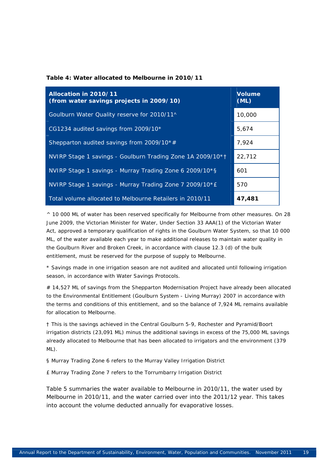#### **Table 4: Water allocated to Melbourne in 2010/11**

| Allocation in 2010/11<br>(from water savings projects in 2009/10) | <b>Volume</b><br>(ML) |
|-------------------------------------------------------------------|-----------------------|
| Goulburn Water Quality reserve for 2010/11^                       | 10,000                |
| CG1234 audited savings from 2009/10*                              | 5,674                 |
| Shepparton audited savings from 2009/10*#                         | 7,924                 |
| NVIRP Stage 1 savings - Goulburn Trading Zone 1A 2009/10*1        | 22,712                |
| NVIRP Stage 1 savings - Murray Trading Zone 6 2009/10*§           | 601                   |
| NVIRP Stage 1 savings - Murray Trading Zone 7 2009/10*E           | 570                   |
| Total volume allocated to Melbourne Retailers in 2010/11          | 47,481                |

^ 10 000 ML of water has been reserved specifically for Melbourne from other measures. On 28 June 2009, the Victorian Minister for Water, Under Section 33 AAA(1) of the Victorian Water Act, approved a temporary qualification of rights in the Goulburn Water System, so that 10 000 ML, of the water available each year to make additional releases to maintain water quality in the Goulburn River and Broken Creek, in accordance with clause 12.3 (d) of the bulk entitlement, must be reserved for the purpose of supply to Melbourne.

\* Savings made in one irrigation season are not audited and allocated until following irrigation season, in accordance with Water Savings Protocols.

# 14,527 ML of savings from the Shepparton Modernisation Project have already been allocated to the Environmental Entitlement (Goulburn System - Living Murray) 2007 in accordance with the terms and conditions of this entitlement, and so the balance of 7,924 ML remains available for allocation to Melbourne.

† This is the savings achieved in the Central Goulburn 5-9, Rochester and Pyramid/Boort irrigation districts (23,091 ML) minus the additional savings in excess of the 75,000 ML savings already allocated to Melbourne that has been allocated to irrigators and the environment (379 ML).

§ Murray Trading Zone 6 refers to the Murray Valley Irrigation District

£ Murray Trading Zone 7 refers to the Torrumbarry Irrigation District

Table 5 summaries the water available to Melbourne in 2010/11, the water used by Melbourne in 2010/11, and the water carried over into the 2011/12 year. This takes into account the volume deducted annually for evaporative losses.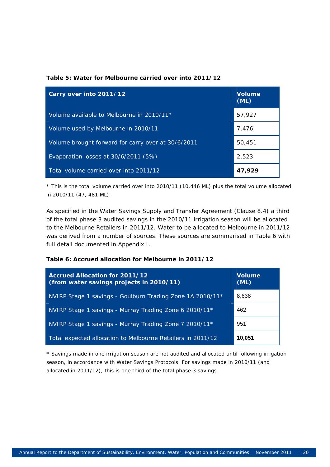#### **Table 5: Water for Melbourne carried over into 2011/12**

| Carry over into 2011/12                            | <b>Volume</b><br>(ML) |
|----------------------------------------------------|-----------------------|
| Volume available to Melbourne in 2010/11*          | 57,927                |
| Volume used by Melbourne in 2010/11                | 7.476                 |
| Volume brought forward for carry over at 30/6/2011 | 50,451                |
| Evaporation losses at 30/6/2011 (5%)               | 2,523                 |
| Total volume carried over into 2011/12             | 47,929                |

\* This is the total volume carried over into 2010/11 (10,446 ML) plus the total volume allocated in 2010/11 (47, 481 ML).

As specified in the *Water Savings Supply and Transfer Agreement* (Clause 8.4) a third of the total phase 3 audited savings in the 2010/11 irrigation season will be allocated to the Melbourne Retailers in 2011/12. Water to be allocated to Melbourne in 2011/12 was derived from a number of sources. These sources are summarised in Table 6 with full detail documented in Appendix I.

#### **Table 6: Accrued allocation for Melbourne in 2011/12**

| <b>Accrued Allocation for 2011/12</b><br>(from water savings projects in 2010/11) | <b>Volume</b><br>(ML) |
|-----------------------------------------------------------------------------------|-----------------------|
| NVIRP Stage 1 savings - Goulburn Trading Zone 1A 2010/11*                         | 8,638                 |
| NVIRP Stage 1 savings - Murray Trading Zone 6 2010/11*                            | 462                   |
| NVIRP Stage 1 savings - Murray Trading Zone 7 2010/11*                            | 951                   |
| Total expected allocation to Melbourne Retailers in 2011/12                       | 10,051                |

\* Savings made in one irrigation season are not audited and allocated until following irrigation season, in accordance with Water Savings Protocols. For savings made in 2010/11 (and allocated in 2011/12), this is one third of the total phase 3 savings.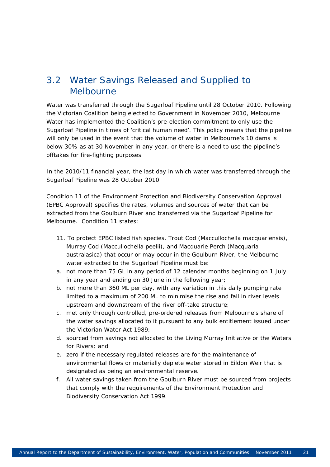# 3.2 Water Savings Released and Supplied to Melbourne

Water was transferred through the Sugarloaf Pipeline until 28 October 2010. Following the Victorian Coalition being elected to Government in November 2010, Melbourne Water has implemented the Coalition's pre-election commitment to only use the Sugarloaf Pipeline in times of 'critical human need'. This policy means that the pipeline will only be used in the event that the volume of water in Melbourne's 10 dams is below 30% as at 30 November in any year, or there is a need to use the pipeline's offtakes for fire-fighting purposes.

In the 2010/11 financial year, the last day in which water was transferred through the Sugarloaf Pipeline was 28 October 2010.

Condition 11 of the *Environment Protection and Biodiversity Conservation Approval (EPBC Approval)* specifies the rates, volumes and sources of water that can be extracted from the Goulburn River and transferred via the Sugarloaf Pipeline for Melbourne. Condition 11 states:

- *11. To protect EPBC listed fish species, Trout Cod (Maccullochella macquariensis), Murray Cod (Maccullochella peelii), and Macquarie Perch (Macquaria australasica) that occur or may occur in the Goulburn River, the Melbourne water extracted to the Sugarloaf Pipeline must be:*
- *a. not more than 75 GL in any period of 12 calendar months beginning on 1 July in any year and ending on 30 June in the following year;*
- *b. not more than 360 ML per day, with any variation in this daily pumping rate limited to a maximum of 200 ML to minimise the rise and fall in river levels upstream and downstream of the river off-take structure;*
- *c. met only through controlled, pre-ordered releases from Melbourne's share of the water savings allocated to it pursuant to any bulk entitlement issued under the Victorian Water Act 1989;*
- *d. sourced from savings not allocated to the Living Murray Initiative or the Waters for Rivers; and*
- *e. zero if the necessary regulated releases are for the maintenance of environmental flows or materially deplete water stored in Eildon Weir that is designated as being an environmental reserve.*
- *f. All water savings taken from the Goulburn River must be sourced from projects that comply with the requirements of the Environment Protection and Biodiversity Conservation Act 1999.*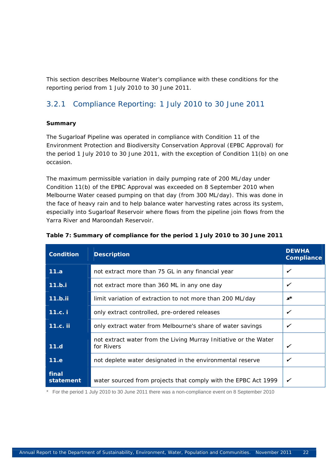This section describes Melbourne Water's compliance with these conditions for the reporting period from 1 July 2010 to 30 June 2011.

### 3.2.1 Compliance Reporting: 1 July 2010 to 30 June 2011

#### **Summary**

The Sugarloaf Pipeline was operated in compliance with Condition 11 of the *Environment Protection and Biodiversity Conservation Approval (EPBC Approval)* for the period 1 July 2010 to 30 June 2011, with the exception of Condition 11(b) on one occasion.

The maximum permissible variation in daily pumping rate of 200 ML/day under Condition 11(b) of the *EPBC Approval* was exceeded on 8 September 2010 when Melbourne Water ceased pumping on that day (from 300 ML/day). This was done in the face of heavy rain and to help balance water harvesting rates across its system, especially into Sugarloaf Reservoir where flows from the pipeline join flows from the Yarra River and Maroondah Reservoir.

| <b>Condition</b>   | <b>Description</b>                                                             | <b>DEWHA</b><br>Compliance |
|--------------------|--------------------------------------------------------------------------------|----------------------------|
| 11.a               | not extract more than 75 GL in any financial year                              | ✓                          |
| 11.b.i             | not extract more than 360 ML in any one day                                    | ✓                          |
| 11.b.ii            | limit variation of extraction to not more than 200 ML/day                      | $x^*$                      |
| 11.c. i            | only extract controlled, pre-ordered releases                                  | ✓                          |
| 11.c. ii           | only extract water from Melbourne's share of water savings                     | ✓                          |
| 11.d               | not extract water from the Living Murray Initiative or the Water<br>for Rivers | ✓                          |
| 11.e               | not deplete water designated in the environmental reserve                      | ✓                          |
| final<br>statement | water sourced from projects that comply with the EPBC Act 1999                 |                            |

#### **Table 7: Summary of compliance for the period 1 July 2010 to 30 June 2011**

\* For the period 1 July 2010 to 30 June 2011 there was a non-compliance event on 8 September 2010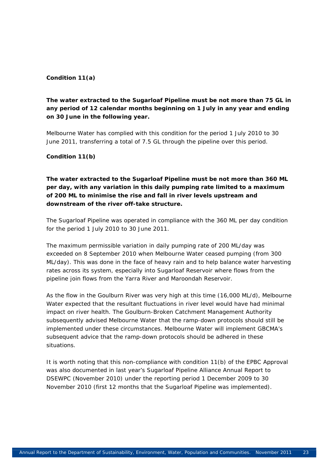#### **Condition 11(a)**

#### *The water extracted to the Sugarloaf Pipeline must be not more than 75 GL in any period of 12 calendar months beginning on 1 July in any year and ending on 30 June in the following year.*

Melbourne Water has complied with this condition for the period 1 July 2010 to 30 June 2011, transferring a total of 7.5 GL through the pipeline over this period.

#### **Condition 11(b)**

#### *The water extracted to the Sugarloaf Pipeline must be not more than 360 ML per day, with any variation in this daily pumping rate limited to a maximum of 200 ML to minimise the rise and fall in river levels upstream and downstream of the river off-take structure.*

The Sugarloaf Pipeline was operated in compliance with the 360 ML per day condition for the period 1 July 2010 to 30 June 2011.

The maximum permissible variation in daily pumping rate of 200 ML/day was exceeded on 8 September 2010 when Melbourne Water ceased pumping (from 300 ML/day). This was done in the face of heavy rain and to help balance water harvesting rates across its system, especially into Sugarloaf Reservoir where flows from the pipeline join flows from the Yarra River and Maroondah Reservoir.

As the flow in the Goulburn River was very high at this time (16,000 ML/d), Melbourne Water expected that the resultant fluctuations in river level would have had minimal impact on river health. The Goulburn-Broken Catchment Management Authority subsequently advised Melbourne Water that the ramp-down protocols should still be implemented under these circumstances. Melbourne Water will implement GBCMA's subsequent advice that the ramp-down protocols should be adhered in these situations.

It is worth noting that this non-compliance with condition 11(b) of the EPBC Approval was also documented in last year's Sugarloaf Pipeline Alliance Annual Report to DSEWPC (November 2010) under the reporting period 1 December 2009 to 30 November 2010 (first 12 months that the Sugarloaf Pipeline was implemented).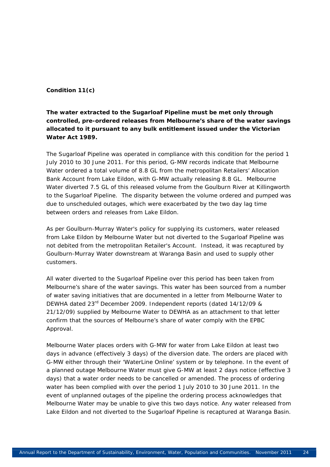#### **Condition 11(c)**

#### *The water extracted to the Sugarloaf Pipeline must be met only through controlled, pre-ordered releases from Melbourne's share of the water savings allocated to it pursuant to any bulk entitlement issued under the Victorian Water Act 1989.*

The Sugarloaf Pipeline was operated in compliance with this condition for the period 1 July 2010 to 30 June 2011. For this period, G-MW records indicate that Melbourne Water ordered a total volume of 8.8 GL from the metropolitan Retailers' Allocation Bank Account from Lake Eildon, with G-MW actually releasing 8.8 GL. Melbourne Water diverted 7.5 GL of this released volume from the Goulburn River at Killingworth to the Sugarloaf Pipeline. The disparity between the volume ordered and pumped was due to unscheduled outages, which were exacerbated by the two day lag time between orders and releases from Lake Eildon.

As per Goulburn-Murray Water's policy for supplying its customers, water released from Lake Eildon by Melbourne Water but not diverted to the Sugarloaf Pipeline was not debited from the metropolitan Retailer's Account. Instead, it was recaptured by Goulburn-Murray Water downstream at Waranga Basin and used to supply other customers.

All water diverted to the Sugarloaf Pipeline over this period has been taken from Melbourne's share of the water savings. This water has been sourced from a number of water saving initiatives that are documented in a letter from Melbourne Water to DEWHA dated 23rd December 2009. Independent reports (dated 14/12/09 & 21/12/09) supplied by Melbourne Water to DEWHA as an attachment to that letter confirm that the sources of Melbourne's share of water comply with the EPBC Approval.

Melbourne Water places orders with G-MW for water from Lake Eildon at least two days in advance (effectively 3 days) of the diversion date. The orders are placed with G-MW either through their 'WaterLine Online' system or by telephone. In the event of a planned outage Melbourne Water must give G-MW at least 2 days notice (effective 3 days) that a water order needs to be cancelled or amended. The process of ordering water has been complied with over the period 1 July 2010 to 30 June 2011. In the event of unplanned outages of the pipeline the ordering process acknowledges that Melbourne Water may be unable to give this two days notice. Any water released from Lake Eildon and not diverted to the Sugarloaf Pipeline is recaptured at Waranga Basin.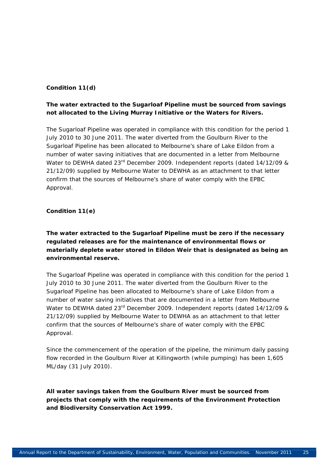#### **Condition 11(d)**

#### *The water extracted to the Sugarloaf Pipeline must be sourced from savings not allocated to the Living Murray Initiative or the Waters for Rivers.*

The Sugarloaf Pipeline was operated in compliance with this condition for the period 1 July 2010 to 30 June 2011. The water diverted from the Goulburn River to the Sugarloaf Pipeline has been allocated to Melbourne's share of Lake Eildon from a number of water saving initiatives that are documented in a letter from Melbourne Water to DEWHA dated 23<sup>rd</sup> December 2009. Independent reports (dated 14/12/09 & 21/12/09) supplied by Melbourne Water to DEWHA as an attachment to that letter confirm that the sources of Melbourne's share of water comply with the *EPBC Approval*.

#### **Condition 11(e)**

#### *The water extracted to the Sugarloaf Pipeline must be zero if the necessary regulated releases are for the maintenance of environmental flows or materially deplete water stored in Eildon Weir that is designated as being an environmental reserve.*

The Sugarloaf Pipeline was operated in compliance with this condition for the period 1 July 2010 to 30 June 2011. The water diverted from the Goulburn River to the Sugarloaf Pipeline has been allocated to Melbourne's share of Lake Eildon from a number of water saving initiatives that are documented in a letter from Melbourne Water to DEWHA dated 23rd December 2009. Independent reports (dated 14/12/09 & 21/12/09) supplied by Melbourne Water to DEWHA as an attachment to that letter confirm that the sources of Melbourne's share of water comply with the *EPBC Approval*.

Since the commencement of the operation of the pipeline, the minimum daily passing flow recorded in the Goulburn River at Killingworth (while pumping) has been 1,605 ML/day (31 July 2010).

*All water savings taken from the Goulburn River must be sourced from projects that comply with the requirements of the Environment Protection and Biodiversity Conservation Act 1999.*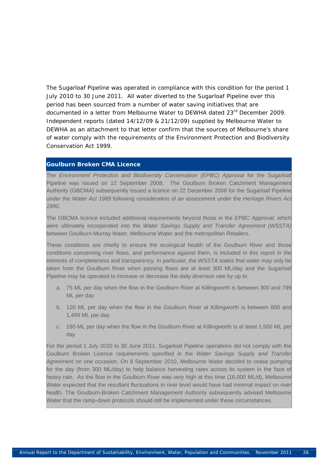The Sugarloaf Pipeline was operated in compliance with this condition for the period 1 July 2010 to 30 June 2011. All water diverted to the Sugarloaf Pipeline over this period has been sourced from a number of water saving initiatives that are documented in a letter from Melbourne Water to DEWHA dated 23rd December 2009. Independent reports (dated 14/12/09 & 21/12/09) supplied by Melbourne Water to DEWHA as an attachment to that letter confirm that the sources of Melbourne's share of water comply with the requirements of the *Environment Protection and Biodiversity Conservation Act 1999.* 

#### **Goulburn Broken CMA Licence**

The *Environment Protection and Biodiversity Conservation (EPBC) Approval* for the Sugarloaf Pipeline was issued on 12 September 2008. The Goulburn Broken Catchment Management Authority (GBCMA) subsequently issued a licence on 22 December 2008 for the Sugarloaf Pipeline under the *Water Act 1989* following consideration of an assessment under the *Heritage Rivers Act 1990*.

The GBCMA licence included additional requirements beyond those in the *EPBC Approval,* which were ultimately incorporated into the *Water Savings Supply and Transfer Agreement (WSSTA)* between Goulburn-Murray Water, Melbourne Water and the metropolitan Retailers.

These conditions are chiefly to ensure the ecological health of the Goulburn River and those conditions concerning river flows, and performance against them, is included in this report in the interests of completeness and transparency. In particular, the *WSSTA* states that water may only be taken from the Goulburn River when passing flows are at least 300 ML/day and the Sugarloaf Pipeline may be operated to increase or decrease the daily diversion rate by up to:

- a. 75 ML per day when the flow in the Goulburn River at Killingworth is between 300 and 799 ML per day
- b. 120 ML per day when the flow in the Goulburn River at Killingworth is between 800 and 1,499 ML per day
- c. 180 ML per day when the flow in the Goulburn River at Killingworth is at least 1,500 ML per day

For the period 1 July 2010 to 30 June 2011, Sugarloaf Pipeline operations did not comply with the Goulburn Broken Licence requirements specified in the *Water Savings Supply and Transfer Agreement* on one occasion. On 8 September 2010, Melbourne Water decided to cease pumping for the day (from 300 ML/day) to help balance harvesting rates across its system in the face of heavy rain. As the flow in the Goulburn River was very high at this time (16,000 ML/d), Melbourne Water expected that the resultant fluctuations in river level would have had minimal impact on river health. The Goulburn-Broken Catchment Management Authority subsequently advised Melbourne Water that the ramp-down protocols should still be implemented under these circumstances.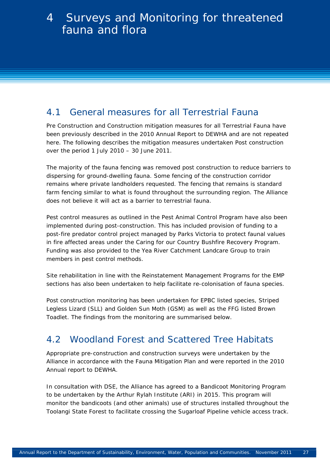# 4.1 General measures for all Terrestrial Fauna

Pre Construction and Construction mitigation measures for all Terrestrial Fauna have been previously described in the 2010 Annual Report to DEWHA and are not repeated here. The following describes the mitigation measures undertaken Post construction over the period 1 July 2010 – 30 June 2011.

The majority of the fauna fencing was removed post construction to reduce barriers to dispersing for ground-dwelling fauna. Some fencing of the construction corridor remains where private landholders requested. The fencing that remains is standard farm fencing similar to what is found throughout the surrounding region. The Alliance does not believe it will act as a barrier to terrestrial fauna.

Pest control measures as outlined in the Pest Animal Control Program have also been implemented during post-construction. This has included provision of funding to a post-fire predator control project managed by Parks Victoria to protect faunal values in fire affected areas under the Caring for our Country Bushfire Recovery Program. Funding was also provided to the Yea River Catchment Landcare Group to train members in pest control methods.

Site rehabilitation in line with the Reinstatement Management Programs for the EMP sections has also been undertaken to help facilitate re-colonisation of fauna species.

Post construction monitoring has been undertaken for EPBC listed species, Striped Legless Lizard (SLL) and Golden Sun Moth (GSM) as well as the FFG listed Brown Toadlet. The findings from the monitoring are summarised below.

# 4.2 Woodland Forest and Scattered Tree Habitats

Appropriate pre-construction and construction surveys were undertaken by the Alliance in accordance with the Fauna Mitigation Plan and were reported in the 2010 Annual report to DEWHA.

In consultation with DSE, the Alliance has agreed to a Bandicoot Monitoring Program to be undertaken by the Arthur Rylah Institute (ARI) in 2015. This program will monitor the bandicoots (and other animals) use of structures installed throughout the Toolangi State Forest to facilitate crossing the Sugarloaf Pipeline vehicle access track.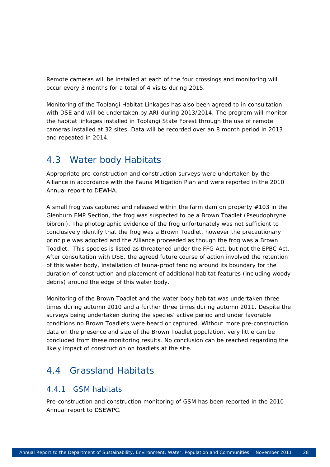Remote cameras will be installed at each of the four crossings and monitoring will occur every 3 months for a total of 4 visits during 2015.

Monitoring of the Toolangi Habitat Linkages has also been agreed to in consultation with DSE and will be undertaken by ARI during 2013/2014. The program will monitor the habitat linkages installed in Toolangi State Forest through the use of remote cameras installed at 32 sites. Data will be recorded over an 8 month period in 2013 and repeated in 2014.

### 4.3 Water body Habitats

Appropriate pre-construction and construction surveys were undertaken by the Alliance in accordance with the Fauna Mitigation Plan and were reported in the 2010 Annual report to DEWHA.

A small frog was captured and released within the farm dam on property #103 in the Glenburn EMP Section, the frog was suspected to be a Brown Toadlet (*Pseudophryne bibroni*). The photographic evidence of the frog unfortunately was not sufficient to conclusively identify that the frog was a Brown Toadlet, however the precautionary principle was adopted and the Alliance proceeded as though the frog was a Brown Toadlet. This species is listed as threatened under the FFG Act, but not the EPBC Act. After consultation with DSE, the agreed future course of action involved the retention of this water body, installation of fauna-proof fencing around its boundary for the duration of construction and placement of additional habitat features (including woody debris) around the edge of this water body.

Monitoring of the Brown Toadlet and the water body habitat was undertaken three times during autumn 2010 and a further three times during autumn 2011. Despite the surveys being undertaken during the species' active period and under favorable conditions no Brown Toadlets were heard or captured. Without more pre-construction data on the presence and size of the Brown Toadlet population, very little can be concluded from these monitoring results. No conclusion can be reached regarding the likely impact of construction on toadlets at the site.

## 4.4 Grassland Habitats

#### 4.4.1 GSM habitats

Pre-construction and construction monitoring of GSM has been reported in the 2010 Annual report to DSEWPC.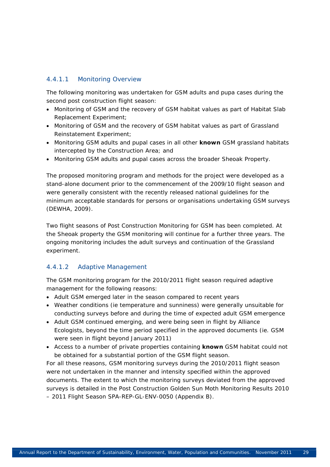#### 4.4.1.1 Monitoring Overview

The following monitoring was undertaken for GSM adults and pupa cases during the second post construction flight season:

- Monitoring of GSM and the recovery of GSM habitat values as part of Habitat Slab Replacement Experiment;
- Monitoring of GSM and the recovery of GSM habitat values as part of Grassland Reinstatement Experiment;
- Monitoring GSM adults and pupal cases in all other **known** GSM grassland habitats intercepted by the Construction Area; and
- Monitoring GSM adults and pupal cases across the broader Sheoak Property.

The proposed monitoring program and methods for the project were developed as a stand-alone document prior to the commencement of the 2009/10 flight season and were generally consistent with the recently released national guidelines for the minimum acceptable standards for persons or organisations undertaking GSM surveys (DEWHA, 2009).

Two flight seasons of Post Construction Monitoring for GSM has been completed. At the Sheoak property the GSM monitoring will continue for a further three years. The ongoing monitoring includes the adult surveys and continuation of the Grassland experiment.

#### 4.4.1.2 Adaptive Management

The GSM monitoring program for the 2010/2011 flight season required adaptive management for the following reasons:

- Adult GSM emerged later in the season compared to recent years
- Weather conditions (ie temperature and sunniness) were generally unsuitable for conducting surveys before and during the time of expected adult GSM emergence
- Adult GSM continued emerging, and were being seen in flight by Alliance Ecologists, beyond the time period specified in the approved documents (ie. GSM were seen in flight beyond January 2011)
- Access to a number of private properties containing **known** GSM habitat could not be obtained for a substantial portion of the GSM flight season.

For all these reasons, GSM monitoring surveys during the 2010/2011 flight season were not undertaken in the manner and intensity specified within the approved documents. The extent to which the monitoring surveys deviated from the approved surveys is detailed in the Post Construction Golden Sun Moth Monitoring Results 2010 – 2011 Flight Season SPA-REP-GL-ENV-0050 (Appendix B).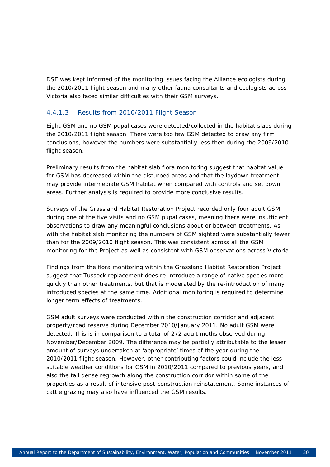DSE was kept informed of the monitoring issues facing the Alliance ecologists during the 2010/2011 flight season and many other fauna consultants and ecologists across Victoria also faced similar difficulties with their GSM surveys.

#### 4.4.1.3 Results from 2010/2011 Flight Season

Eight GSM and no GSM pupal cases were detected/collected in the habitat slabs during the 2010/2011 flight season. There were too few GSM detected to draw any firm conclusions, however the numbers were substantially less then during the 2009/2010 flight season.

Preliminary results from the habitat slab flora monitoring suggest that habitat value for GSM has decreased within the disturbed areas and that the laydown treatment may provide intermediate GSM habitat when compared with controls and set down areas. Further analysis is required to provide more conclusive results.

Surveys of the Grassland Habitat Restoration Project recorded only four adult GSM during one of the five visits and no GSM pupal cases, meaning there were insufficient observations to draw any meaningful conclusions about or between treatments. As with the habitat slab monitoring the numbers of GSM sighted were substantially fewer than for the 2009/2010 flight season. This was consistent across all the GSM monitoring for the Project as well as consistent with GSM observations across Victoria.

Findings from the flora monitoring within the Grassland Habitat Restoration Project suggest that Tussock replacement does re-introduce a range of native species more quickly than other treatments, but that is moderated by the re-introduction of many introduced species at the same time. Additional monitoring is required to determine longer term effects of treatments.

GSM adult surveys were conducted within the construction corridor and adjacent property/road reserve during December 2010/January 2011. No adult GSM were detected. This is in comparison to a total of 272 adult moths observed during November/December 2009. The difference may be partially attributable to the lesser amount of surveys undertaken at 'appropriate' times of the year during the 2010/2011 flight season. However, other contributing factors could include the less suitable weather conditions for GSM in 2010/2011 compared to previous years, and also the tall dense regrowth along the construction corridor within some of the properties as a result of intensive post-construction reinstatement. Some instances of cattle grazing may also have influenced the GSM results.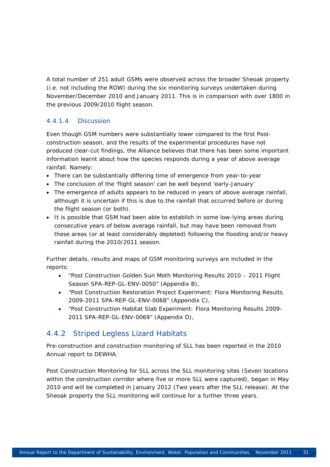A total number of 251 adult GSMs were observed across the broader Sheoak property (i.e. not including the ROW) during the six monitoring surveys undertaken during November/December 2010 and January 2011. This is in comparison with over 1800 in the previous 2009/2010 flight season.

#### 4.4.1.4 Discussion

Even though GSM numbers were substantially lower compared to the first Postconstruction season, and the results of the experimental procedures have not produced clear-cut findings, the Alliance believes that there has been some important information learnt about how the species responds during a year of above average rainfall. Namely:

- There can be substantially differing time of emergence from year-to-year
- The conclusion of the 'flight season' can be well beyond 'early-January'
- The emergence of adults appears to be reduced in years of above average rainfall, although it is uncertain if this is due to the rainfall that occurred before or during the flight season (or both).
- It is possible that GSM had been able to establish in some low-lying areas during consecutive years of below average rainfall, but may have been removed from these areas (or at least considerably depleted) following the flooding and/or heavy rainfall during the 2010/2011 season.

Further details, results and maps of GSM monitoring surveys are included in the reports:

- "Post Construction Golden Sun Moth Monitoring Results 2010 2011 Flight Season SPA-REP-GL-ENV-0050" (Appendix B),
- "Post Construction Restoration Project Experiment: Flora Monitoring Results 2009-2011 SPA-REP-GL-ENV-0068" (Appendix C),
- "Post Construction Habitat Slab Experiment: Flora Monitoring Results 2009- 2011 SPA-REP-GL-ENV-0069" (Appendix D),

### 4.4.2 Striped Legless Lizard Habitats

Pre-construction and construction monitoring of SLL has been reported in the 2010 Annual report to DEWHA.

Post Construction Monitoring for SLL across the SLL monitoring sites (Seven locations within the construction corridor where five or more SLL were captured), began in May 2010 and will be completed in January 2012 (Two years after the SLL release). At the Sheoak property the SLL monitoring will continue for a further three years.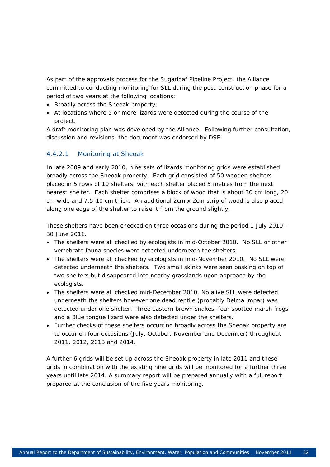As part of the approvals process for the Sugarloaf Pipeline Project, the Alliance committed to conducting monitoring for SLL during the post-construction phase for a period of two years at the following locations:

- Broadly across the Sheoak property;
- At locations where 5 or more lizards were detected during the course of the project.

A draft monitoring plan was developed by the Alliance. Following further consultation, discussion and revisions, the document was endorsed by DSE.

#### 4.4.2.1 Monitoring at Sheoak

In late 2009 and early 2010, nine sets of lizards monitoring grids were established broadly across the Sheoak property. Each grid consisted of 50 wooden shelters placed in 5 rows of 10 shelters, with each shelter placed 5 metres from the next nearest shelter. Each shelter comprises a block of wood that is about 30 cm long, 20 cm wide and 7.5-10 cm thick. An additional 2cm x 2cm strip of wood is also placed along one edge of the shelter to raise it from the ground slightly.

These shelters have been checked on three occasions during the period 1 July 2010 – 30 June 2011.

- The shelters were all checked by ecologists in mid-October 2010. No SLL or other vertebrate fauna species were detected underneath the shelters;
- The shelters were all checked by ecologists in mid-November 2010. No SLL were detected underneath the shelters. Two small skinks were seen basking on top of two shelters but disappeared into nearby grasslands upon approach by the ecologists.
- The shelters were all checked mid-December 2010. No alive SLL were detected underneath the shelters however one dead reptile (probably *Delma impar*) was detected under one shelter. Three eastern brown snakes, four spotted marsh frogs and a Blue tongue lizard were also detected under the shelters.
- Further checks of these shelters occurring broadly across the Sheoak property are to occur on four occasions (July, October, November and December) throughout 2011, 2012, 2013 and 2014.

A further 6 grids will be set up across the Sheoak property in late 2011 and these grids in combination with the existing nine grids will be monitored for a further three years until late 2014. A summary report will be prepared annually with a full report prepared at the conclusion of the five years monitoring.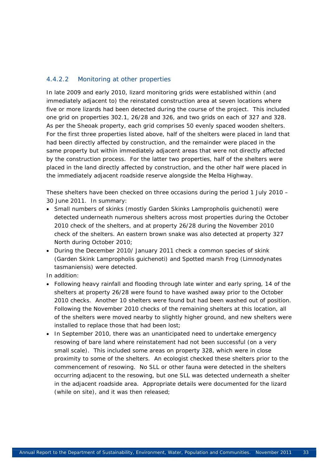#### 4.4.2.2 Monitoring at other properties

In late 2009 and early 2010, lizard monitoring grids were established within (and immediately adjacent to) the reinstated construction area at seven locations where five or more lizards had been detected during the course of the project. This included one grid on properties 302.1, 26/28 and 326, and two grids on each of 327 and 328. As per the Sheoak property, each grid comprises 50 evenly spaced wooden shelters. For the first three properties listed above, half of the shelters were placed in land that had been directly affected by construction, and the remainder were placed in the same property but within immediately adjacent areas that were not directly affected by the construction process. For the latter two properties, half of the shelters were placed in the land directly affected by construction, and the other half were placed in the immediately adjacent roadside reserve alongside the Melba Highway.

These shelters have been checked on three occasions during the period 1 July 2010 – 30 June 2011. In summary:

- Small numbers of skinks (mostly Garden Skinks *Lampropholis guichenoti*) were detected underneath numerous shelters across most properties during the October 2010 check of the shelters, and at property 26/28 during the November 2010 check of the shelters. An eastern brown snake was also detected at property 327 North during October 2010;
- During the December 2010/ January 2011 check a common species of skink (Garden Skink *Lampropholis guichenoti*) and Spotted marsh Frog (*Limnodynates tasmaniensis)* were detected.

In addition:

- Following heavy rainfall and flooding through late winter and early spring, 14 of the shelters at property 26/28 were found to have washed away prior to the October 2010 checks. Another 10 shelters were found but had been washed out of position. Following the November 2010 checks of the remaining shelters at this location, all of the shelters were moved nearby to slightly higher ground, and new shelters were installed to replace those that had been lost;
- In September 2010, there was an unanticipated need to undertake emergency resowing of bare land where reinstatement had not been successful (on a very small scale). This included some areas on property 328, which were in close proximity to some of the shelters. An ecologist checked these shelters prior to the commencement of resowing. No SLL or other fauna were detected in the shelters occurring adjacent to the resowing, but one SLL was detected underneath a shelter in the adjacent roadside area. Appropriate details were documented for the lizard (while on site), and it was then released;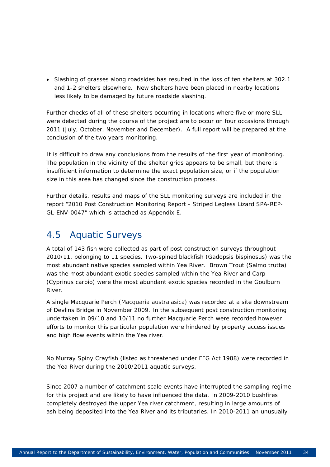• Slashing of grasses along roadsides has resulted in the loss of ten shelters at 302.1 and 1-2 shelters elsewhere. New shelters have been placed in nearby locations less likely to be damaged by future roadside slashing.

Further checks of all of these shelters occurring in locations where five or more SLL were detected during the course of the project are to occur on four occasions through 2011 (July, October, November and December). A full report will be prepared at the conclusion of the two years monitoring.

It is difficult to draw any conclusions from the results of the first year of monitoring. The population in the vicinity of the shelter grids appears to be small, but there is insufficient information to determine the exact population size, or if the population size in this area has changed since the construction process.

Further details, results and maps of the SLL monitoring surveys are included in the report "2010 Post Construction Monitoring Report - Striped Legless Lizard SPA-REP-GL-ENV-0047" which is attached as Appendix E.

## 4.5 Aquatic Surveys

A total of 143 fish were collected as part of post construction surveys throughout 2010/11, belonging to 11 species. Two-spined blackfish (*Gadopsis bispinosus*) was the most abundant native species sampled within Yea River. Brown Trout (*Salmo trutta*) was the most abundant exotic species sampled within the Yea River and Carp (*Cyprinus carpio*) were the most abundant exotic species recorded in the Goulburn River.

A single Macquarie Perch (*Macquaria australasica*) was recorded at a site downstream of Devlins Bridge in November 2009. In the subsequent post construction monitoring undertaken in 09/10 and 10/11 no further Macquarie Perch were recorded however efforts to monitor this particular population were hindered by property access issues and high flow events within the Yea river.

No Murray Spiny Crayfish (listed as threatened under FFG Act 1988) were recorded in the Yea River during the 2010/2011 aquatic surveys.

Since 2007 a number of catchment scale events have interrupted the sampling regime for this project and are likely to have influenced the data. In 2009-2010 bushfires completely destroyed the upper Yea river catchment, resulting in large amounts of ash being deposited into the Yea River and its tributaries. In 2010-2011 an unusually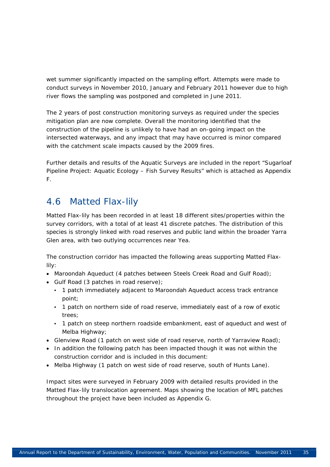wet summer significantly impacted on the sampling effort. Attempts were made to conduct surveys in November 2010, January and February 2011 however due to high river flows the sampling was postponed and completed in June 2011.

The 2 years of post construction monitoring surveys as required under the species mitigation plan are now complete. Overall the monitoring identified that the construction of the pipeline is unlikely to have had an on-going impact on the intersected waterways, and any impact that may have occurred is minor compared with the catchment scale impacts caused by the 2009 fires.

Further details and results of the Aquatic Surveys are included in the report "Sugarloaf Pipeline Project: Aquatic Ecology – Fish Survey Results" which is attached as Appendix F.

# 4.6 Matted Flax-lily

Matted Flax-lily has been recorded in at least 18 different sites/properties within the survey corridors, with a total of at least 41 discrete patches. The distribution of this species is strongly linked with road reserves and public land within the broader Yarra Glen area, with two outlying occurrences near Yea.

The construction corridor has impacted the following areas supporting Matted Flaxlily:

- Maroondah Aqueduct (4 patches between Steels Creek Road and Gulf Road);
- Gulf Road (3 patches in road reserve);
	- 1 patch immediately adjacent to Maroondah Aqueduct access track entrance point;
	- 1 patch on northern side of road reserve, immediately east of a row of exotic trees;
	- 1 patch on steep northern roadside embankment, east of aqueduct and west of Melba Highway;
- Glenview Road (1 patch on west side of road reserve, north of Yarraview Road);
- In addition the following patch has been impacted though it was not within the construction corridor and is included in this document:
- Melba Highway (1 patch on west side of road reserve, south of Hunts Lane).

Impact sites were surveyed in February 2009 with detailed results provided in the Matted Flax-lily translocation agreement. Maps showing the location of MFL patches throughout the project have been included as Appendix G.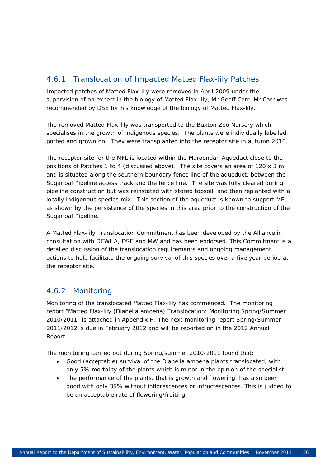### 4.6.1 Translocation of Impacted Matted Flax-lily Patches

Impacted patches of Matted Flax-lily were removed in April 2009 under the supervision of an expert in the biology of Matted Flax-lily, Mr Geoff Carr. Mr Carr was recommended by DSE for his knowledge of the biology of Matted Flax-lily.

The removed Matted Flax-lily was transported to the Buxton Zoo Nursery which specialises in the growth of indigenous species. The plants were individually labelled, potted and grown on. They were transplanted into the receptor site in autumn 2010.

The receptor site for the MFL is located within the Maroondah Aqueduct close to the positions of Patches 1 to 4 (discussed above). The site covers an area of 120 x 3 m, and is situated along the southern boundary fence line of the aqueduct, between the Sugarloaf Pipeline access track and the fence line. The site was fully cleared during pipeline construction but was reinstated with stored topsoil, and then replanted with a locally indigenous species mix. This section of the aqueduct is known to support MFL as shown by the persistence of the species in this area prior to the construction of the Sugarloaf Pipeline.

A Matted Flax-lily Translocation Commitment has been developed by the Alliance in consultation with DEWHA, DSE and MW and has been endorsed. This Commitment is a detailed discussion of the translocation requirements and ongoing management actions to help facilitate the ongoing survival of this species over a five year period at the receptor site.

### 4.6.2 Monitoring

Monitoring of the translocated Matted Flax-lily has commenced. The monitoring report "Matted Flax-lily (*Dianella amoena*) Translocation: Monitoring Spring/Summer 2010/2011" is attached in Appendix H. The next monitoring report Spring/Summer 2011/2012 is due in February 2012 and will be reported on in the 2012 Annual Report.

The monitoring carried out during Spring/summer 2010-2011 found that:

- Good (acceptable) survival of the *Dianella amoena* plants translocated, with only 5% mortality of the plants which is minor in the opinion of the specialist.
- The performance of the plants, that is growth and flowering, has also been good with only 35% without inflorescences or infructescences. This is judged to be an acceptable rate of flowering/fruiting.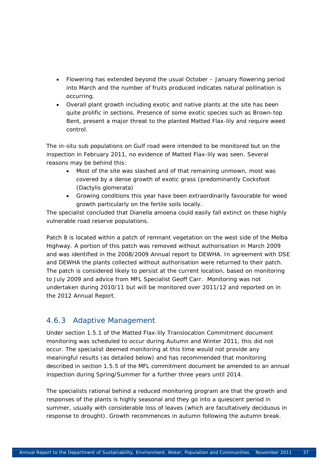- Flowering has extended beyond the usual October January flowering period into March and the number of fruits produced indicates natural pollination is occurring.
- Overall plant growth including exotic and native plants at the site has been quite prolific in sections. Presence of some exotic species such as Brown-top Bent, present a major threat to the planted Matted Flax-lily and require weed control.

The in-situ sub populations on Gulf road were intended to be monitored but on the inspection in February 2011, no evidence of Matted Flax-lily was seen. Several reasons may be behind this:

- Most of the site was slashed and of that remaining unmown, most was covered by a dense growth of exotic grass (predominantly Cocksfoot (*Dactylis glomerata*)
- Growing conditions this year have been extraordinarily favourable for weed growth particularly on the fertile soils locally.

The specialist concluded that *Dianella amoena* could easily fall extinct on these highly vulnerable road reserve populations.

Patch 8 is located within a patch of remnant vegetation on the west side of the Melba Highway. A portion of this patch was removed without authorisation in March 2009 and was identified in the 2008/2009 Annual report to DEWHA. In agreement with DSE and DEWHA the plants collected without authorisation were returned to their patch. The patch is considered likely to persist at the current location, based on monitoring to July 2009 and advice from MFL Specialist Geoff Carr. Monitoring was not undertaken during 2010/11 but will be monitored over 2011/12 and reported on in the 2012 Annual Report.

#### 4.6.3 Adaptive Management

Under section 1.5.1 of the Matted Flax-lily Translocation Commitment document monitoring was scheduled to occur during Autumn and Winter 2011, this did not occur. The specialist deemed monitoring at this time would not provide any meaningful results (as detailed below) and has recommended that monitoring described in section 1.5.5 of the MFL commitment document be amended to an annual inspection during Spring/Summer for a further three years until 2014.

The specialists rational behind a reduced monitoring program are that the growth and responses of the plants is highly seasonal and they go into a quiescent period in summer, usually with considerable loss of leaves (which are facultatively deciduous in response to drought). Growth recommences in autumn following the autumn break.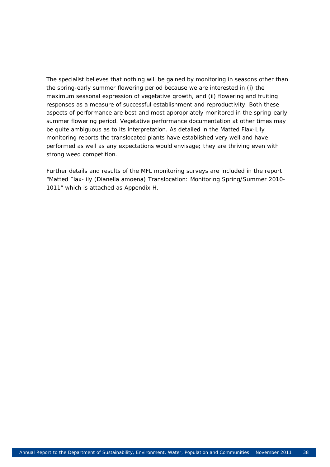The specialist believes that nothing will be gained by monitoring in seasons other than the spring-early summer flowering period because we are interested in (i) the maximum seasonal expression of vegetative growth, and (ii) flowering and fruiting responses as a measure of successful establishment and reproductivity. Both these aspects of performance are best and most appropriately monitored in the spring-early summer flowering period. Vegetative performance documentation at other times may be quite ambiguous as to its interpretation. As detailed in the Matted Flax-Lily monitoring reports the translocated plants have established very well and have performed as well as any expectations would envisage; they are thriving even with strong weed competition.

Further details and results of the MFL monitoring surveys are included in the report "Matted Flax-lily (*Dianella amoena)* Translocation: Monitoring Spring/Summer 2010- 1011" which is attached as Appendix H.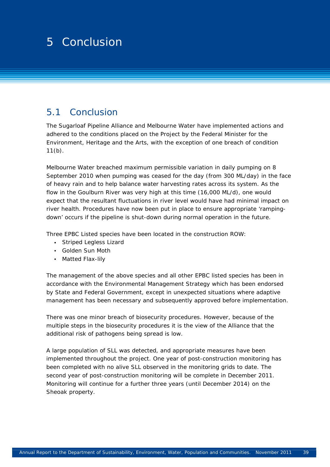# 1 4 Surveys for the state of the state of the state of the state of the state of the state of the state of the<br>1 Surveys for the state of the state of the state of the state of the state of the state of the state of the s 2 5 Conclusion

### 5.1 Conclusion

The Sugarloaf Pipeline Alliance and Melbourne Water have implemented actions and adhered to the conditions placed on the Project by the Federal Minister for the Environment, Heritage and the Arts, with the exception of one breach of condition  $11(b)$ .

Melbourne Water breached maximum permissible variation in daily pumping on 8 September 2010 when pumping was ceased for the day (from 300 ML/day) in the face of heavy rain and to help balance water harvesting rates across its system. As the flow in the Goulburn River was very high at this time (16,000 ML/d), one would expect that the resultant fluctuations in river level would have had minimal impact on river health. Procedures have now been put in place to ensure appropriate 'rampingdown' occurs if the pipeline is shut-down during normal operation in the future.

Three EPBC Listed species have been located in the construction ROW:

- Striped Legless Lizard
- Golden Sun Moth
- Matted Flax-lily

The management of the above species and all other EPBC listed species has been in accordance with the Environmental Management Strategy which has been endorsed by State and Federal Government, except in unexpected situations where adaptive management has been necessary and subsequently approved before implementation.

There was one minor breach of biosecurity procedures. However, because of the multiple steps in the biosecurity procedures it is the view of the Alliance that the additional risk of pathogens being spread is low.

A large population of SLL was detected, and appropriate measures have been implemented throughout the project. One year of post-construction monitoring has been completed with no alive SLL observed in the monitoring grids to date. The second year of post-construction monitoring will be complete in December 2011. Monitoring will continue for a further three years (until December 2014) on the Sheoak property.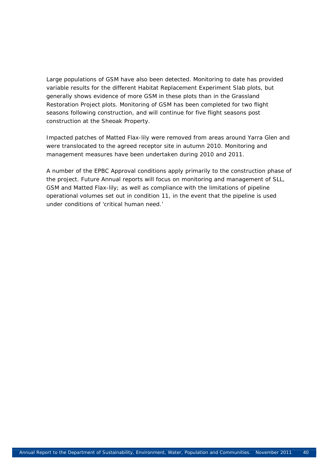Large populations of GSM have also been detected. Monitoring to date has provided variable results for the different Habitat Replacement Experiment Slab plots, but generally shows evidence of more GSM in these plots than in the Grassland Restoration Project plots. Monitoring of GSM has been completed for two flight seasons following construction, and will continue for five flight seasons post construction at the Sheoak Property.

Impacted patches of Matted Flax-lily were removed from areas around Yarra Glen and were translocated to the agreed receptor site in autumn 2010. Monitoring and management measures have been undertaken during 2010 and 2011.

A number of the EPBC Approval conditions apply primarily to the construction phase of the project. Future Annual reports will focus on monitoring and management of SLL, GSM and Matted Flax-lily; as well as compliance with the limitations of pipeline operational volumes set out in condition 11, in the event that the pipeline is used under conditions of 'critical human need.'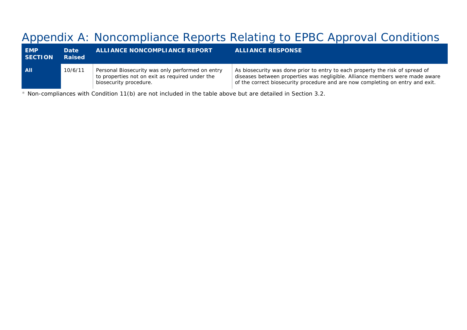# Appendix A: Noncompliance Reports Relating to EPBC Approval Conditions

| <b>EMP</b><br><b>SECTION</b> | Date<br><b>Raised</b> | ALLIANCE NONCOMPLIANCE REPORT                                                                                                 | <b>ALLIANCE RESPONSE</b>                                                                                                                                                                                                                        |
|------------------------------|-----------------------|-------------------------------------------------------------------------------------------------------------------------------|-------------------------------------------------------------------------------------------------------------------------------------------------------------------------------------------------------------------------------------------------|
| All                          | 10/6/11               | Personal Biosecurity was only performed on entry<br>to properties not on exit as required under the<br>biosecurity procedure. | As biosecurity was done prior to entry to each property the risk of spread of<br>diseases between properties was negligible. Alliance members were made aware<br>of the correct biosecurity procedure and are now completing on entry and exit. |

\* Non-compliances with Condition 11(b) are not included in the table above but are detailed in Section 3.2.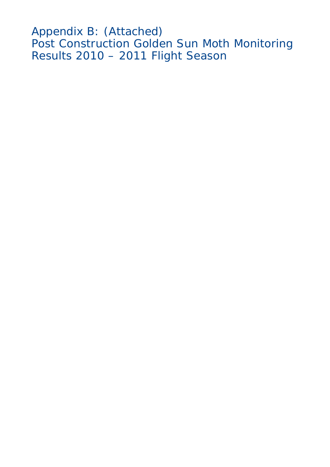Appendix B: (Attached) Post Construction Golden Sun Moth Monitoring Results 2010 – 2011 Flight Season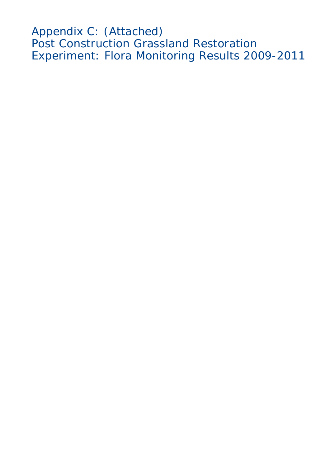Appendix C: (Attached) Post Construction Grassland Restoration Experiment: Flora Monitoring Results 2009-2011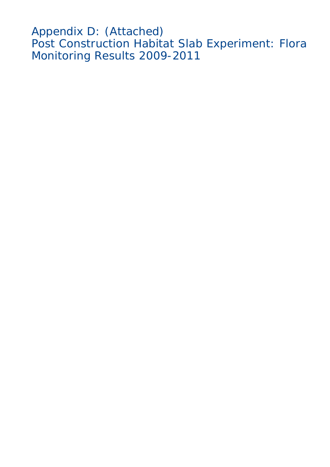Appendix D: (Attached) Post Construction Habitat Slab Experiment: Flora Monitoring Results 2009-2011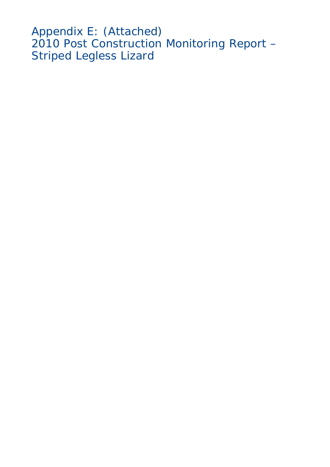Appendix E: (Attached) 2010 Post Construction Monitoring Report – Striped Legless Lizard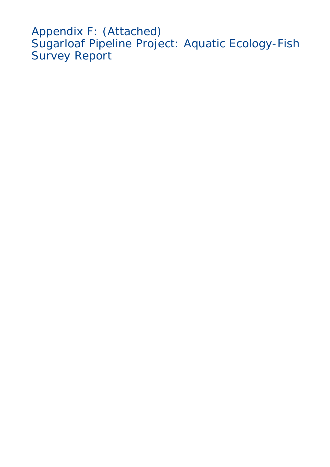Appendix F: (Attached) Sugarloaf Pipeline Project: Aquatic Ecology-Fish Survey Report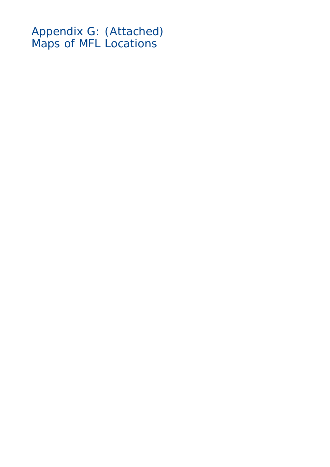Appendix G: (Attached) Maps of MFL Locations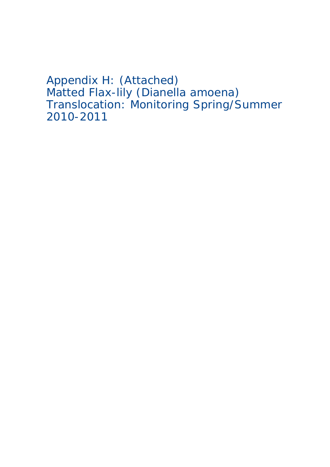Appendix H: (Attached) Matted Flax-lily (Dianella amoena) Translocation: Monitoring Spring/Summer 2010-2011